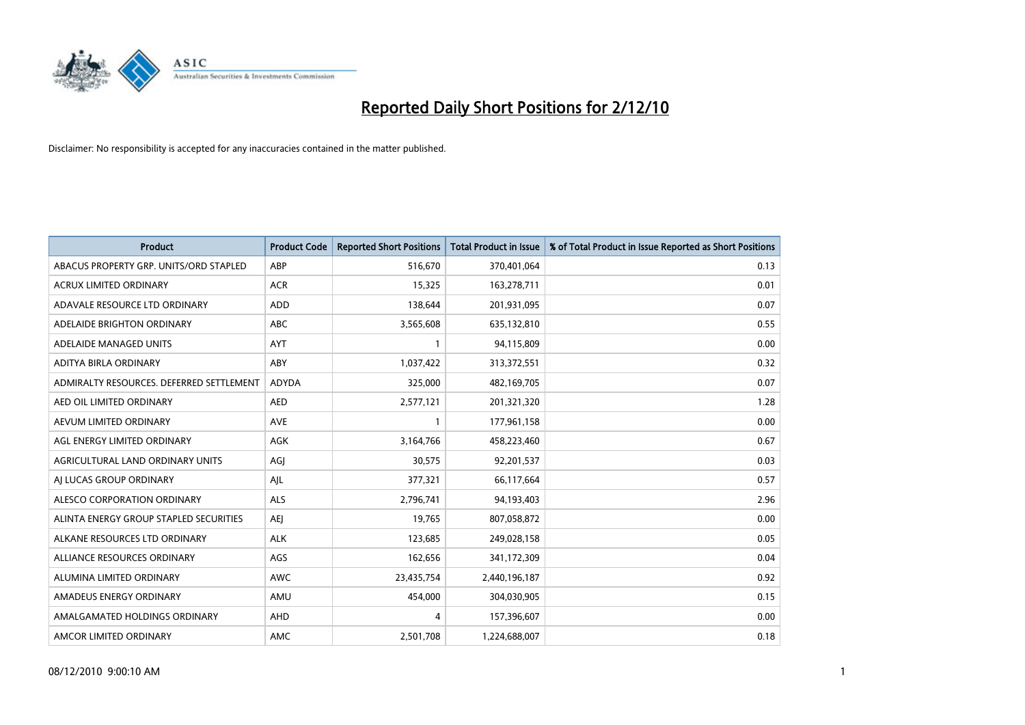

| <b>Product</b>                           | <b>Product Code</b> | <b>Reported Short Positions</b> | Total Product in Issue | % of Total Product in Issue Reported as Short Positions |
|------------------------------------------|---------------------|---------------------------------|------------------------|---------------------------------------------------------|
| ABACUS PROPERTY GRP. UNITS/ORD STAPLED   | ABP                 | 516,670                         | 370,401,064            | 0.13                                                    |
| ACRUX LIMITED ORDINARY                   | <b>ACR</b>          | 15,325                          | 163,278,711            | 0.01                                                    |
| ADAVALE RESOURCE LTD ORDINARY            | <b>ADD</b>          | 138,644                         | 201,931,095            | 0.07                                                    |
| ADELAIDE BRIGHTON ORDINARY               | <b>ABC</b>          | 3,565,608                       | 635,132,810            | 0.55                                                    |
| ADELAIDE MANAGED UNITS                   | <b>AYT</b>          |                                 | 94,115,809             | 0.00                                                    |
| ADITYA BIRLA ORDINARY                    | <b>ABY</b>          | 1,037,422                       | 313,372,551            | 0.32                                                    |
| ADMIRALTY RESOURCES. DEFERRED SETTLEMENT | <b>ADYDA</b>        | 325,000                         | 482,169,705            | 0.07                                                    |
| AED OIL LIMITED ORDINARY                 | <b>AED</b>          | 2,577,121                       | 201,321,320            | 1.28                                                    |
| AEVUM LIMITED ORDINARY                   | AVE                 |                                 | 177,961,158            | 0.00                                                    |
| AGL ENERGY LIMITED ORDINARY              | <b>AGK</b>          | 3,164,766                       | 458,223,460            | 0.67                                                    |
| AGRICULTURAL LAND ORDINARY UNITS         | AGJ                 | 30,575                          | 92,201,537             | 0.03                                                    |
| AI LUCAS GROUP ORDINARY                  | AJL                 | 377,321                         | 66,117,664             | 0.57                                                    |
| ALESCO CORPORATION ORDINARY              | <b>ALS</b>          | 2,796,741                       | 94,193,403             | 2.96                                                    |
| ALINTA ENERGY GROUP STAPLED SECURITIES   | <b>AEI</b>          | 19.765                          | 807,058,872            | 0.00                                                    |
| ALKANE RESOURCES LTD ORDINARY            | <b>ALK</b>          | 123,685                         | 249,028,158            | 0.05                                                    |
| ALLIANCE RESOURCES ORDINARY              | AGS                 | 162,656                         | 341,172,309            | 0.04                                                    |
| ALUMINA LIMITED ORDINARY                 | <b>AWC</b>          | 23,435,754                      | 2,440,196,187          | 0.92                                                    |
| AMADEUS ENERGY ORDINARY                  | AMU                 | 454,000                         | 304,030,905            | 0.15                                                    |
| AMALGAMATED HOLDINGS ORDINARY            | AHD                 | 4                               | 157,396,607            | 0.00                                                    |
| AMCOR LIMITED ORDINARY                   | <b>AMC</b>          | 2,501,708                       | 1,224,688,007          | 0.18                                                    |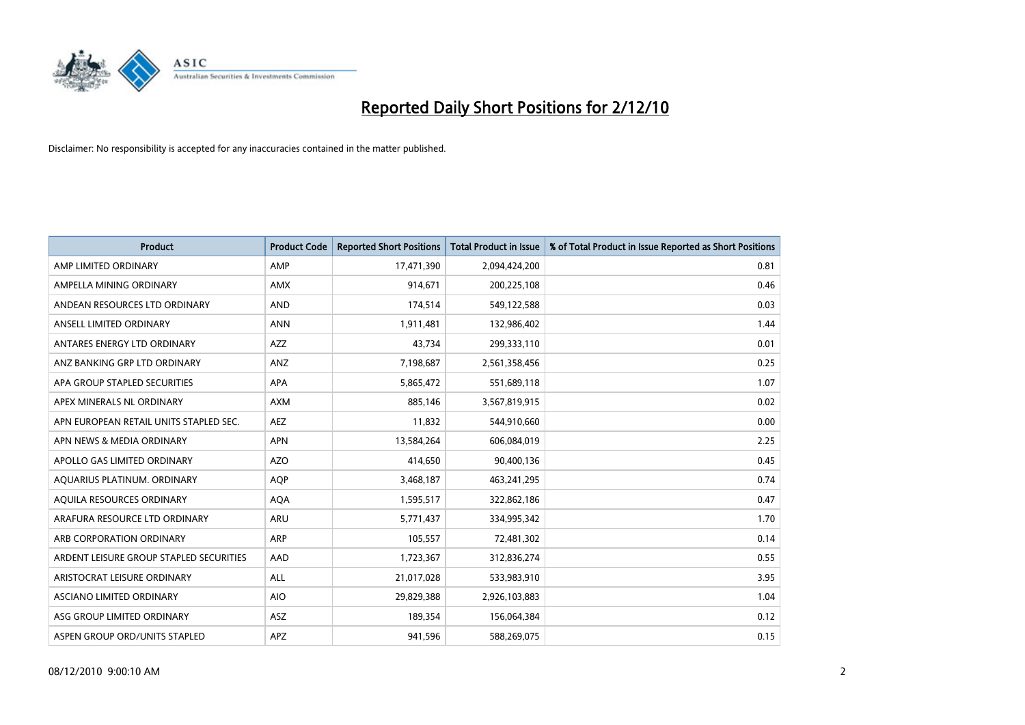

| <b>Product</b>                          | <b>Product Code</b> | <b>Reported Short Positions</b> | <b>Total Product in Issue</b> | % of Total Product in Issue Reported as Short Positions |
|-----------------------------------------|---------------------|---------------------------------|-------------------------------|---------------------------------------------------------|
| AMP LIMITED ORDINARY                    | AMP                 | 17,471,390                      | 2,094,424,200                 | 0.81                                                    |
| AMPELLA MINING ORDINARY                 | AMX                 | 914,671                         | 200,225,108                   | 0.46                                                    |
| ANDEAN RESOURCES LTD ORDINARY           | <b>AND</b>          | 174,514                         | 549,122,588                   | 0.03                                                    |
| ANSELL LIMITED ORDINARY                 | <b>ANN</b>          | 1,911,481                       | 132,986,402                   | 1.44                                                    |
| ANTARES ENERGY LTD ORDINARY             | <b>AZZ</b>          | 43,734                          | 299,333,110                   | 0.01                                                    |
| ANZ BANKING GRP LTD ORDINARY            | <b>ANZ</b>          | 7,198,687                       | 2,561,358,456                 | 0.25                                                    |
| APA GROUP STAPLED SECURITIES            | <b>APA</b>          | 5,865,472                       | 551,689,118                   | 1.07                                                    |
| APEX MINERALS NL ORDINARY               | <b>AXM</b>          | 885,146                         | 3,567,819,915                 | 0.02                                                    |
| APN EUROPEAN RETAIL UNITS STAPLED SEC.  | <b>AEZ</b>          | 11,832                          | 544,910,660                   | 0.00                                                    |
| APN NEWS & MEDIA ORDINARY               | <b>APN</b>          | 13,584,264                      | 606,084,019                   | 2.25                                                    |
| APOLLO GAS LIMITED ORDINARY             | <b>AZO</b>          | 414,650                         | 90,400,136                    | 0.45                                                    |
| AQUARIUS PLATINUM. ORDINARY             | <b>AQP</b>          | 3,468,187                       | 463,241,295                   | 0.74                                                    |
| AQUILA RESOURCES ORDINARY               | <b>AQA</b>          | 1,595,517                       | 322,862,186                   | 0.47                                                    |
| ARAFURA RESOURCE LTD ORDINARY           | ARU                 | 5,771,437                       | 334,995,342                   | 1.70                                                    |
| ARB CORPORATION ORDINARY                | <b>ARP</b>          | 105,557                         | 72,481,302                    | 0.14                                                    |
| ARDENT LEISURE GROUP STAPLED SECURITIES | AAD                 | 1,723,367                       | 312,836,274                   | 0.55                                                    |
| ARISTOCRAT LEISURE ORDINARY             | <b>ALL</b>          | 21,017,028                      | 533,983,910                   | 3.95                                                    |
| ASCIANO LIMITED ORDINARY                | <b>AIO</b>          | 29,829,388                      | 2,926,103,883                 | 1.04                                                    |
| ASG GROUP LIMITED ORDINARY              | <b>ASZ</b>          | 189,354                         | 156,064,384                   | 0.12                                                    |
| ASPEN GROUP ORD/UNITS STAPLED           | <b>APZ</b>          | 941,596                         | 588,269,075                   | 0.15                                                    |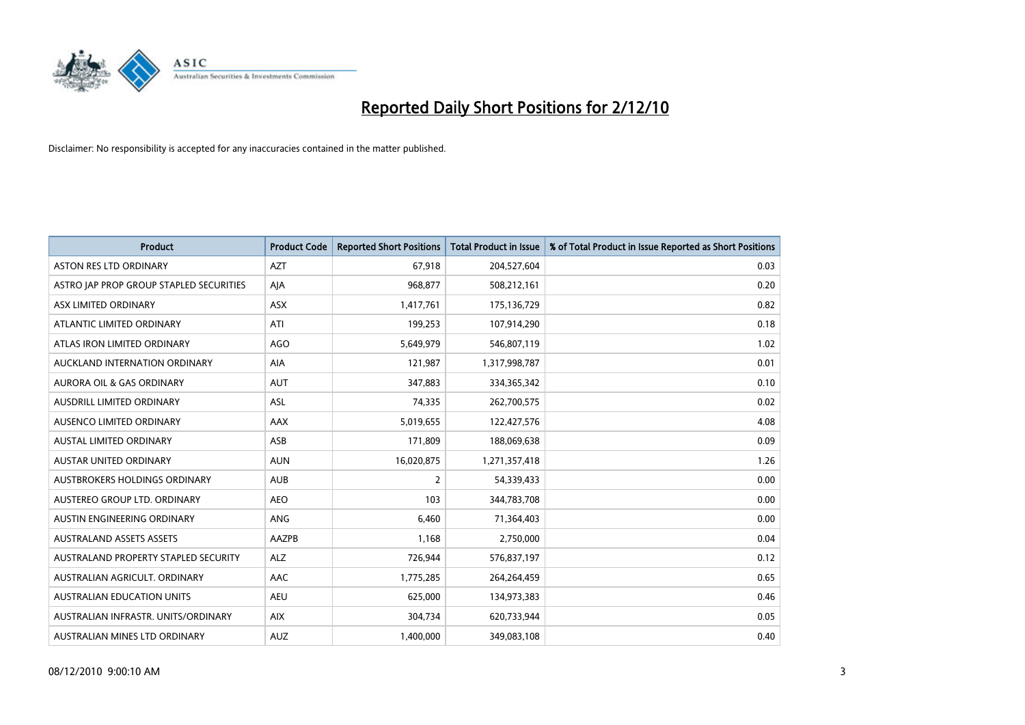

| <b>Product</b>                          | <b>Product Code</b> | <b>Reported Short Positions</b> | <b>Total Product in Issue</b> | % of Total Product in Issue Reported as Short Positions |
|-----------------------------------------|---------------------|---------------------------------|-------------------------------|---------------------------------------------------------|
| <b>ASTON RES LTD ORDINARY</b>           | <b>AZT</b>          | 67,918                          | 204,527,604                   | 0.03                                                    |
| ASTRO JAP PROP GROUP STAPLED SECURITIES | AJA                 | 968,877                         | 508,212,161                   | 0.20                                                    |
| ASX LIMITED ORDINARY                    | <b>ASX</b>          | 1,417,761                       | 175,136,729                   | 0.82                                                    |
| ATLANTIC LIMITED ORDINARY               | ATI                 | 199,253                         | 107,914,290                   | 0.18                                                    |
| ATLAS IRON LIMITED ORDINARY             | <b>AGO</b>          | 5,649,979                       | 546,807,119                   | 1.02                                                    |
| AUCKLAND INTERNATION ORDINARY           | AIA                 | 121,987                         | 1,317,998,787                 | 0.01                                                    |
| <b>AURORA OIL &amp; GAS ORDINARY</b>    | <b>AUT</b>          | 347,883                         | 334,365,342                   | 0.10                                                    |
| <b>AUSDRILL LIMITED ORDINARY</b>        | <b>ASL</b>          | 74,335                          | 262,700,575                   | 0.02                                                    |
| AUSENCO LIMITED ORDINARY                | <b>AAX</b>          | 5,019,655                       | 122,427,576                   | 4.08                                                    |
| <b>AUSTAL LIMITED ORDINARY</b>          | ASB                 | 171,809                         | 188,069,638                   | 0.09                                                    |
| AUSTAR UNITED ORDINARY                  | <b>AUN</b>          | 16,020,875                      | 1,271,357,418                 | 1.26                                                    |
| <b>AUSTBROKERS HOLDINGS ORDINARY</b>    | <b>AUB</b>          | 2                               | 54,339,433                    | 0.00                                                    |
| AUSTEREO GROUP LTD. ORDINARY            | <b>AEO</b>          | 103                             | 344,783,708                   | 0.00                                                    |
| AUSTIN ENGINEERING ORDINARY             | ANG                 | 6,460                           | 71,364,403                    | 0.00                                                    |
| <b>AUSTRALAND ASSETS ASSETS</b>         | AAZPB               | 1,168                           | 2,750,000                     | 0.04                                                    |
| AUSTRALAND PROPERTY STAPLED SECURITY    | <b>ALZ</b>          | 726,944                         | 576,837,197                   | 0.12                                                    |
| AUSTRALIAN AGRICULT, ORDINARY           | <b>AAC</b>          | 1,775,285                       | 264,264,459                   | 0.65                                                    |
| AUSTRALIAN EDUCATION UNITS              | <b>AEU</b>          | 625,000                         | 134,973,383                   | 0.46                                                    |
| AUSTRALIAN INFRASTR, UNITS/ORDINARY     | <b>AIX</b>          | 304,734                         | 620,733,944                   | 0.05                                                    |
| AUSTRALIAN MINES LTD ORDINARY           | <b>AUZ</b>          | 1.400.000                       | 349,083,108                   | 0.40                                                    |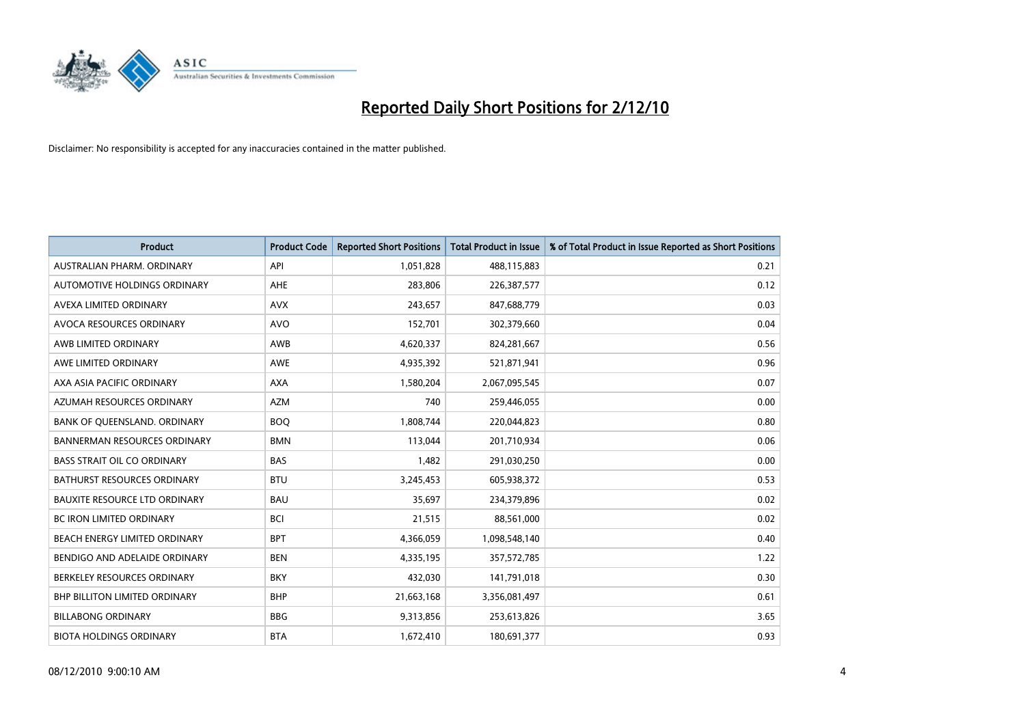

| <b>Product</b>                       | <b>Product Code</b> | <b>Reported Short Positions</b> | <b>Total Product in Issue</b> | % of Total Product in Issue Reported as Short Positions |
|--------------------------------------|---------------------|---------------------------------|-------------------------------|---------------------------------------------------------|
| AUSTRALIAN PHARM, ORDINARY           | API                 | 1,051,828                       | 488,115,883                   | 0.21                                                    |
| AUTOMOTIVE HOLDINGS ORDINARY         | AHE                 | 283,806                         | 226,387,577                   | 0.12                                                    |
| AVEXA LIMITED ORDINARY               | <b>AVX</b>          | 243,657                         | 847,688,779                   | 0.03                                                    |
| AVOCA RESOURCES ORDINARY             | <b>AVO</b>          | 152,701                         | 302,379,660                   | 0.04                                                    |
| AWB LIMITED ORDINARY                 | <b>AWB</b>          | 4,620,337                       | 824,281,667                   | 0.56                                                    |
| AWE LIMITED ORDINARY                 | AWE                 | 4,935,392                       | 521,871,941                   | 0.96                                                    |
| AXA ASIA PACIFIC ORDINARY            | <b>AXA</b>          | 1,580,204                       | 2,067,095,545                 | 0.07                                                    |
| AZUMAH RESOURCES ORDINARY            | <b>AZM</b>          | 740                             | 259,446,055                   | 0.00                                                    |
| BANK OF QUEENSLAND. ORDINARY         | <b>BOO</b>          | 1,808,744                       | 220,044,823                   | 0.80                                                    |
| <b>BANNERMAN RESOURCES ORDINARY</b>  | <b>BMN</b>          | 113,044                         | 201,710,934                   | 0.06                                                    |
| <b>BASS STRAIT OIL CO ORDINARY</b>   | <b>BAS</b>          | 1,482                           | 291,030,250                   | 0.00                                                    |
| <b>BATHURST RESOURCES ORDINARY</b>   | <b>BTU</b>          | 3,245,453                       | 605,938,372                   | 0.53                                                    |
| <b>BAUXITE RESOURCE LTD ORDINARY</b> | <b>BAU</b>          | 35,697                          | 234,379,896                   | 0.02                                                    |
| <b>BC IRON LIMITED ORDINARY</b>      | <b>BCI</b>          | 21,515                          | 88,561,000                    | 0.02                                                    |
| BEACH ENERGY LIMITED ORDINARY        | <b>BPT</b>          | 4,366,059                       | 1,098,548,140                 | 0.40                                                    |
| BENDIGO AND ADELAIDE ORDINARY        | <b>BEN</b>          | 4,335,195                       | 357,572,785                   | 1.22                                                    |
| BERKELEY RESOURCES ORDINARY          | <b>BKY</b>          | 432,030                         | 141,791,018                   | 0.30                                                    |
| BHP BILLITON LIMITED ORDINARY        | <b>BHP</b>          | 21,663,168                      | 3,356,081,497                 | 0.61                                                    |
| <b>BILLABONG ORDINARY</b>            | <b>BBG</b>          | 9,313,856                       | 253,613,826                   | 3.65                                                    |
| <b>BIOTA HOLDINGS ORDINARY</b>       | <b>BTA</b>          | 1,672,410                       | 180,691,377                   | 0.93                                                    |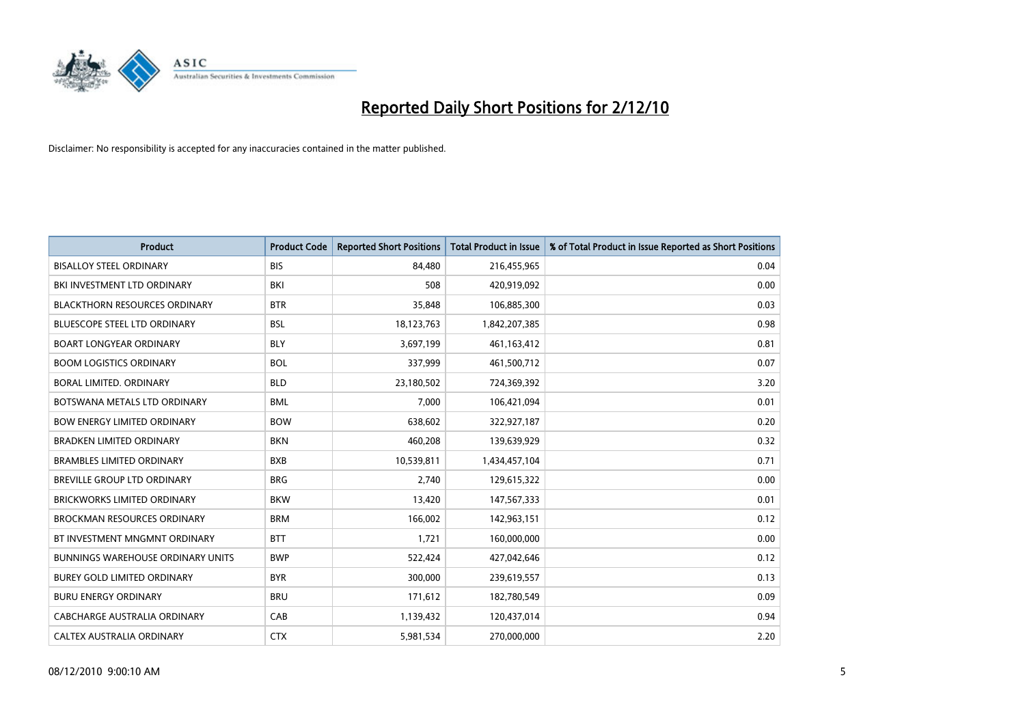

| <b>Product</b>                           | <b>Product Code</b> | <b>Reported Short Positions</b> | <b>Total Product in Issue</b> | % of Total Product in Issue Reported as Short Positions |
|------------------------------------------|---------------------|---------------------------------|-------------------------------|---------------------------------------------------------|
| <b>BISALLOY STEEL ORDINARY</b>           | <b>BIS</b>          | 84,480                          | 216,455,965                   | 0.04                                                    |
| BKI INVESTMENT LTD ORDINARY              | <b>BKI</b>          | 508                             | 420,919,092                   | 0.00                                                    |
| <b>BLACKTHORN RESOURCES ORDINARY</b>     | <b>BTR</b>          | 35,848                          | 106,885,300                   | 0.03                                                    |
| <b>BLUESCOPE STEEL LTD ORDINARY</b>      | <b>BSL</b>          | 18,123,763                      | 1,842,207,385                 | 0.98                                                    |
| <b>BOART LONGYEAR ORDINARY</b>           | <b>BLY</b>          | 3,697,199                       | 461,163,412                   | 0.81                                                    |
| <b>BOOM LOGISTICS ORDINARY</b>           | <b>BOL</b>          | 337,999                         | 461,500,712                   | 0.07                                                    |
| <b>BORAL LIMITED, ORDINARY</b>           | <b>BLD</b>          | 23,180,502                      | 724,369,392                   | 3.20                                                    |
| BOTSWANA METALS LTD ORDINARY             | <b>BML</b>          | 7,000                           | 106,421,094                   | 0.01                                                    |
| <b>BOW ENERGY LIMITED ORDINARY</b>       | <b>BOW</b>          | 638,602                         | 322,927,187                   | 0.20                                                    |
| <b>BRADKEN LIMITED ORDINARY</b>          | <b>BKN</b>          | 460,208                         | 139,639,929                   | 0.32                                                    |
| <b>BRAMBLES LIMITED ORDINARY</b>         | <b>BXB</b>          | 10,539,811                      | 1,434,457,104                 | 0.71                                                    |
| <b>BREVILLE GROUP LTD ORDINARY</b>       | <b>BRG</b>          | 2.740                           | 129,615,322                   | 0.00                                                    |
| <b>BRICKWORKS LIMITED ORDINARY</b>       | <b>BKW</b>          | 13,420                          | 147,567,333                   | 0.01                                                    |
| <b>BROCKMAN RESOURCES ORDINARY</b>       | <b>BRM</b>          | 166,002                         | 142,963,151                   | 0.12                                                    |
| BT INVESTMENT MNGMNT ORDINARY            | <b>BTT</b>          | 1,721                           | 160,000,000                   | 0.00                                                    |
| <b>BUNNINGS WAREHOUSE ORDINARY UNITS</b> | <b>BWP</b>          | 522,424                         | 427,042,646                   | 0.12                                                    |
| <b>BUREY GOLD LIMITED ORDINARY</b>       | <b>BYR</b>          | 300,000                         | 239,619,557                   | 0.13                                                    |
| <b>BURU ENERGY ORDINARY</b>              | <b>BRU</b>          | 171,612                         | 182,780,549                   | 0.09                                                    |
| CABCHARGE AUSTRALIA ORDINARY             | CAB                 | 1,139,432                       | 120,437,014                   | 0.94                                                    |
| CALTEX AUSTRALIA ORDINARY                | <b>CTX</b>          | 5,981,534                       | 270,000,000                   | 2.20                                                    |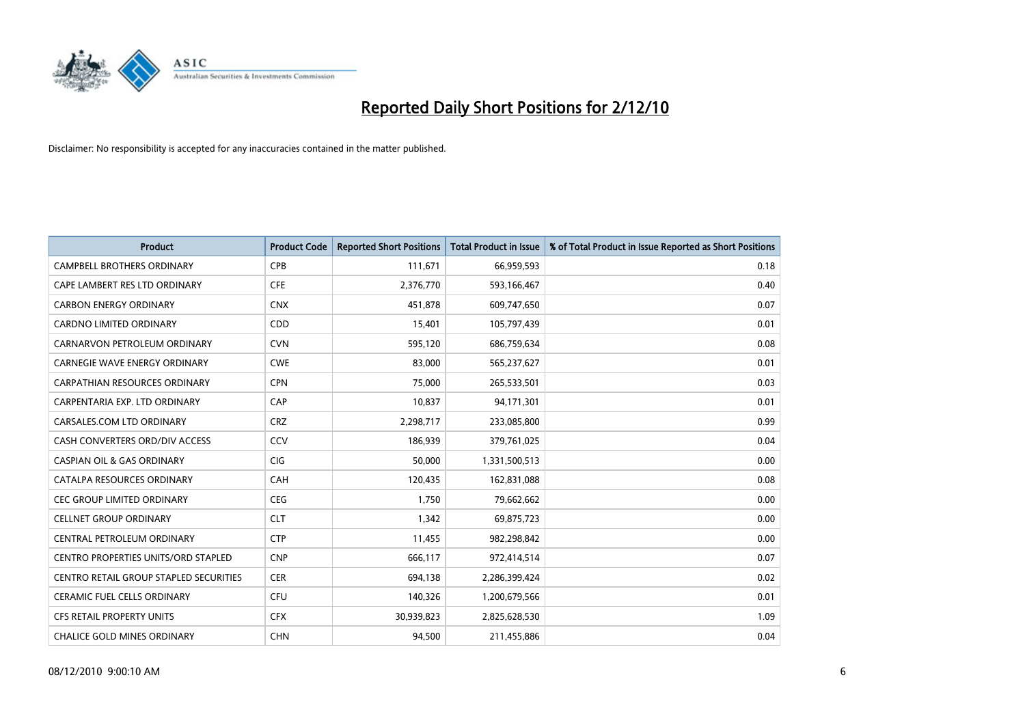

| <b>Product</b>                         | <b>Product Code</b> | <b>Reported Short Positions</b> | <b>Total Product in Issue</b> | % of Total Product in Issue Reported as Short Positions |
|----------------------------------------|---------------------|---------------------------------|-------------------------------|---------------------------------------------------------|
| <b>CAMPBELL BROTHERS ORDINARY</b>      | <b>CPB</b>          | 111,671                         | 66,959,593                    | 0.18                                                    |
| CAPE LAMBERT RES LTD ORDINARY          | <b>CFE</b>          | 2,376,770                       | 593,166,467                   | 0.40                                                    |
| <b>CARBON ENERGY ORDINARY</b>          | <b>CNX</b>          | 451,878                         | 609,747,650                   | 0.07                                                    |
| CARDNO LIMITED ORDINARY                | CDD                 | 15,401                          | 105,797,439                   | 0.01                                                    |
| CARNARVON PETROLEUM ORDINARY           | <b>CVN</b>          | 595,120                         | 686,759,634                   | 0.08                                                    |
| <b>CARNEGIE WAVE ENERGY ORDINARY</b>   | <b>CWE</b>          | 83,000                          | 565,237,627                   | 0.01                                                    |
| <b>CARPATHIAN RESOURCES ORDINARY</b>   | <b>CPN</b>          | 75.000                          | 265,533,501                   | 0.03                                                    |
| CARPENTARIA EXP. LTD ORDINARY          | CAP                 | 10,837                          | 94,171,301                    | 0.01                                                    |
| CARSALES.COM LTD ORDINARY              | <b>CRZ</b>          | 2,298,717                       | 233,085,800                   | 0.99                                                    |
| CASH CONVERTERS ORD/DIV ACCESS         | CCV                 | 186.939                         | 379,761,025                   | 0.04                                                    |
| CASPIAN OIL & GAS ORDINARY             | <b>CIG</b>          | 50,000                          | 1,331,500,513                 | 0.00                                                    |
| CATALPA RESOURCES ORDINARY             | <b>CAH</b>          | 120,435                         | 162,831,088                   | 0.08                                                    |
| <b>CEC GROUP LIMITED ORDINARY</b>      | <b>CEG</b>          | 1,750                           | 79,662,662                    | 0.00                                                    |
| <b>CELLNET GROUP ORDINARY</b>          | <b>CLT</b>          | 1,342                           | 69,875,723                    | 0.00                                                    |
| CENTRAL PETROLEUM ORDINARY             | <b>CTP</b>          | 11,455                          | 982,298,842                   | 0.00                                                    |
| CENTRO PROPERTIES UNITS/ORD STAPLED    | <b>CNP</b>          | 666,117                         | 972,414,514                   | 0.07                                                    |
| CENTRO RETAIL GROUP STAPLED SECURITIES | <b>CER</b>          | 694,138                         | 2,286,399,424                 | 0.02                                                    |
| CERAMIC FUEL CELLS ORDINARY            | <b>CFU</b>          | 140,326                         | 1,200,679,566                 | 0.01                                                    |
| <b>CFS RETAIL PROPERTY UNITS</b>       | <b>CFX</b>          | 30,939,823                      | 2,825,628,530                 | 1.09                                                    |
| <b>CHALICE GOLD MINES ORDINARY</b>     | <b>CHN</b>          | 94.500                          | 211,455,886                   | 0.04                                                    |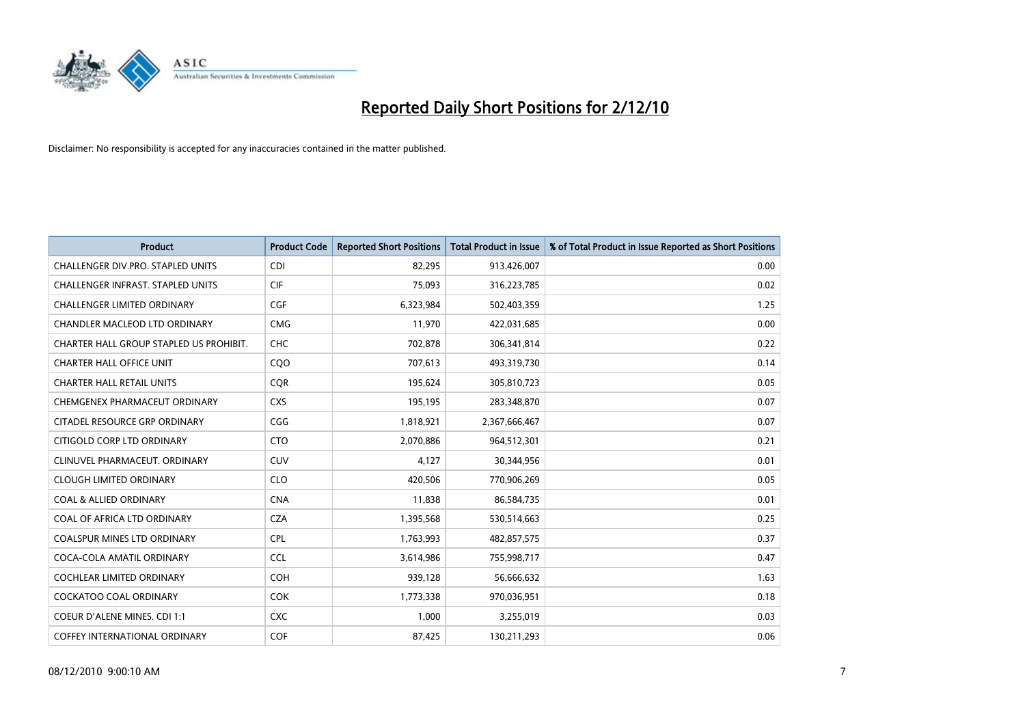

| <b>Product</b>                           | <b>Product Code</b> | <b>Reported Short Positions</b> | <b>Total Product in Issue</b> | % of Total Product in Issue Reported as Short Positions |
|------------------------------------------|---------------------|---------------------------------|-------------------------------|---------------------------------------------------------|
| CHALLENGER DIV.PRO. STAPLED UNITS        | <b>CDI</b>          | 82,295                          | 913,426,007                   | 0.00                                                    |
| <b>CHALLENGER INFRAST, STAPLED UNITS</b> | <b>CIF</b>          | 75.093                          | 316,223,785                   | 0.02                                                    |
| <b>CHALLENGER LIMITED ORDINARY</b>       | CGF                 | 6,323,984                       | 502,403,359                   | 1.25                                                    |
| CHANDLER MACLEOD LTD ORDINARY            | <b>CMG</b>          | 11,970                          | 422,031,685                   | 0.00                                                    |
| CHARTER HALL GROUP STAPLED US PROHIBIT.  | <b>CHC</b>          | 702,878                         | 306,341,814                   | 0.22                                                    |
| <b>CHARTER HALL OFFICE UNIT</b>          | CQO                 | 707,613                         | 493,319,730                   | 0.14                                                    |
| <b>CHARTER HALL RETAIL UNITS</b>         | <b>COR</b>          | 195,624                         | 305,810,723                   | 0.05                                                    |
| CHEMGENEX PHARMACEUT ORDINARY            | <b>CXS</b>          | 195,195                         | 283,348,870                   | 0.07                                                    |
| CITADEL RESOURCE GRP ORDINARY            | CGG                 | 1,818,921                       | 2,367,666,467                 | 0.07                                                    |
| CITIGOLD CORP LTD ORDINARY               | <b>CTO</b>          | 2,070,886                       | 964,512,301                   | 0.21                                                    |
| CLINUVEL PHARMACEUT, ORDINARY            | <b>CUV</b>          | 4,127                           | 30,344,956                    | 0.01                                                    |
| <b>CLOUGH LIMITED ORDINARY</b>           | <b>CLO</b>          | 420,506                         | 770,906,269                   | 0.05                                                    |
| <b>COAL &amp; ALLIED ORDINARY</b>        | <b>CNA</b>          | 11,838                          | 86,584,735                    | 0.01                                                    |
| COAL OF AFRICA LTD ORDINARY              | <b>CZA</b>          | 1,395,568                       | 530,514,663                   | 0.25                                                    |
| COALSPUR MINES LTD ORDINARY              | <b>CPL</b>          | 1,763,993                       | 482,857,575                   | 0.37                                                    |
| COCA-COLA AMATIL ORDINARY                | <b>CCL</b>          | 3,614,986                       | 755,998,717                   | 0.47                                                    |
| <b>COCHLEAR LIMITED ORDINARY</b>         | <b>COH</b>          | 939,128                         | 56,666,632                    | 1.63                                                    |
| COCKATOO COAL ORDINARY                   | <b>COK</b>          | 1,773,338                       | 970,036,951                   | 0.18                                                    |
| <b>COEUR D'ALENE MINES. CDI 1:1</b>      | <b>CXC</b>          | 1,000                           | 3,255,019                     | 0.03                                                    |
| COFFEY INTERNATIONAL ORDINARY            | <b>COF</b>          | 87,425                          | 130,211,293                   | 0.06                                                    |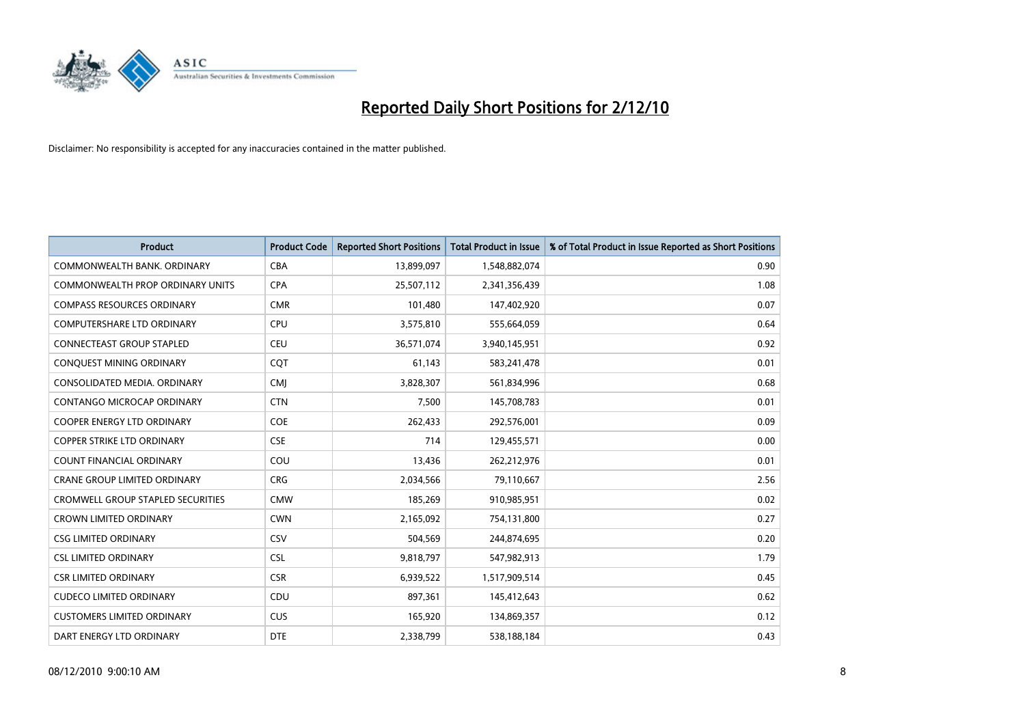

| <b>Product</b>                           | <b>Product Code</b> | <b>Reported Short Positions</b> | <b>Total Product in Issue</b> | % of Total Product in Issue Reported as Short Positions |
|------------------------------------------|---------------------|---------------------------------|-------------------------------|---------------------------------------------------------|
| COMMONWEALTH BANK, ORDINARY              | <b>CBA</b>          | 13,899,097                      | 1,548,882,074                 | 0.90                                                    |
| COMMONWEALTH PROP ORDINARY UNITS         | <b>CPA</b>          | 25,507,112                      | 2,341,356,439                 | 1.08                                                    |
| <b>COMPASS RESOURCES ORDINARY</b>        | <b>CMR</b>          | 101,480                         | 147,402,920                   | 0.07                                                    |
| COMPUTERSHARE LTD ORDINARY               | <b>CPU</b>          | 3,575,810                       | 555,664,059                   | 0.64                                                    |
| <b>CONNECTEAST GROUP STAPLED</b>         | CEU                 | 36,571,074                      | 3,940,145,951                 | 0.92                                                    |
| CONQUEST MINING ORDINARY                 | CQT                 | 61,143                          | 583,241,478                   | 0.01                                                    |
| CONSOLIDATED MEDIA, ORDINARY             | <b>CMI</b>          | 3,828,307                       | 561,834,996                   | 0.68                                                    |
| <b>CONTANGO MICROCAP ORDINARY</b>        | <b>CTN</b>          | 7,500                           | 145,708,783                   | 0.01                                                    |
| COOPER ENERGY LTD ORDINARY               | <b>COE</b>          | 262,433                         | 292,576,001                   | 0.09                                                    |
| <b>COPPER STRIKE LTD ORDINARY</b>        | <b>CSE</b>          | 714                             | 129,455,571                   | 0.00                                                    |
| COUNT FINANCIAL ORDINARY                 | COU                 | 13,436                          | 262,212,976                   | 0.01                                                    |
| <b>CRANE GROUP LIMITED ORDINARY</b>      | <b>CRG</b>          | 2,034,566                       | 79,110,667                    | 2.56                                                    |
| <b>CROMWELL GROUP STAPLED SECURITIES</b> | <b>CMW</b>          | 185,269                         | 910,985,951                   | 0.02                                                    |
| <b>CROWN LIMITED ORDINARY</b>            | <b>CWN</b>          | 2,165,092                       | 754,131,800                   | 0.27                                                    |
| <b>CSG LIMITED ORDINARY</b>              | CSV                 | 504,569                         | 244,874,695                   | 0.20                                                    |
| <b>CSL LIMITED ORDINARY</b>              | <b>CSL</b>          | 9,818,797                       | 547,982,913                   | 1.79                                                    |
| <b>CSR LIMITED ORDINARY</b>              | <b>CSR</b>          | 6,939,522                       | 1,517,909,514                 | 0.45                                                    |
| <b>CUDECO LIMITED ORDINARY</b>           | CDU                 | 897,361                         | 145,412,643                   | 0.62                                                    |
| <b>CUSTOMERS LIMITED ORDINARY</b>        | <b>CUS</b>          | 165,920                         | 134,869,357                   | 0.12                                                    |
| DART ENERGY LTD ORDINARY                 | <b>DTE</b>          | 2,338,799                       | 538,188,184                   | 0.43                                                    |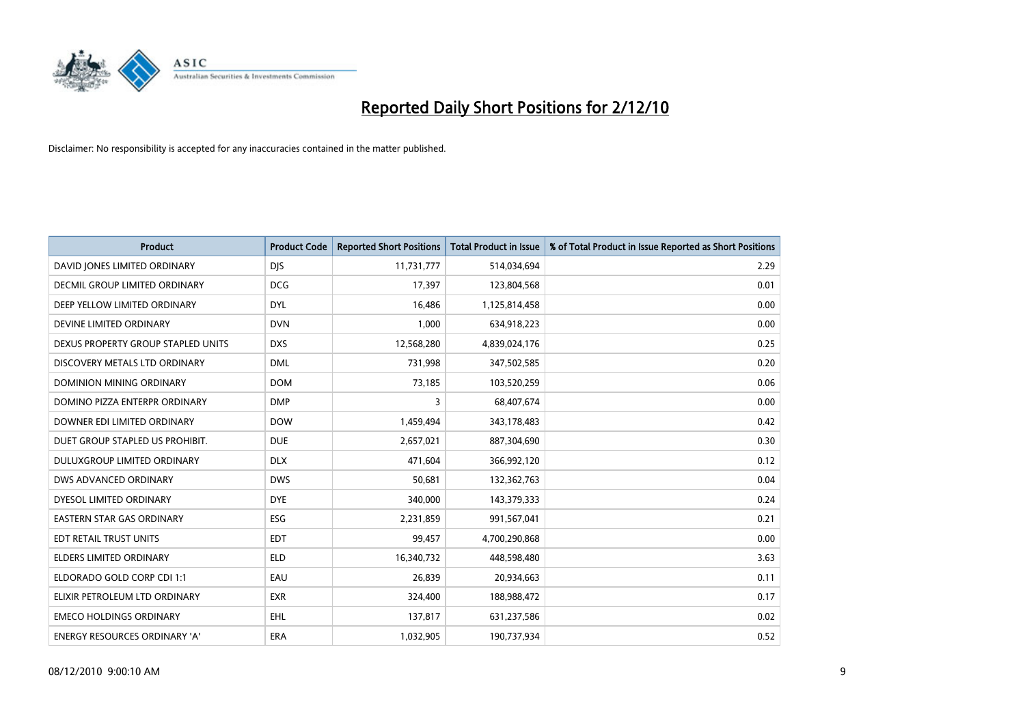

| <b>Product</b>                     | <b>Product Code</b> | <b>Reported Short Positions</b> | <b>Total Product in Issue</b> | % of Total Product in Issue Reported as Short Positions |
|------------------------------------|---------------------|---------------------------------|-------------------------------|---------------------------------------------------------|
| DAVID JONES LIMITED ORDINARY       | <b>DJS</b>          | 11,731,777                      | 514,034,694                   | 2.29                                                    |
| DECMIL GROUP LIMITED ORDINARY      | <b>DCG</b>          | 17,397                          | 123,804,568                   | 0.01                                                    |
| DEEP YELLOW LIMITED ORDINARY       | <b>DYL</b>          | 16,486                          | 1,125,814,458                 | 0.00                                                    |
| DEVINE LIMITED ORDINARY            | <b>DVN</b>          | 1,000                           | 634,918,223                   | 0.00                                                    |
| DEXUS PROPERTY GROUP STAPLED UNITS | <b>DXS</b>          | 12,568,280                      | 4,839,024,176                 | 0.25                                                    |
| DISCOVERY METALS LTD ORDINARY      | <b>DML</b>          | 731,998                         | 347,502,585                   | 0.20                                                    |
| DOMINION MINING ORDINARY           | <b>DOM</b>          | 73,185                          | 103,520,259                   | 0.06                                                    |
| DOMINO PIZZA ENTERPR ORDINARY      | <b>DMP</b>          | 3                               | 68,407,674                    | 0.00                                                    |
| DOWNER EDI LIMITED ORDINARY        | <b>DOW</b>          | 1,459,494                       | 343,178,483                   | 0.42                                                    |
| DUET GROUP STAPLED US PROHIBIT.    | <b>DUE</b>          | 2,657,021                       | 887,304,690                   | 0.30                                                    |
| DULUXGROUP LIMITED ORDINARY        | <b>DLX</b>          | 471,604                         | 366,992,120                   | 0.12                                                    |
| DWS ADVANCED ORDINARY              | <b>DWS</b>          | 50,681                          | 132,362,763                   | 0.04                                                    |
| DYESOL LIMITED ORDINARY            | <b>DYE</b>          | 340,000                         | 143,379,333                   | 0.24                                                    |
| <b>EASTERN STAR GAS ORDINARY</b>   | ESG                 | 2,231,859                       | 991,567,041                   | 0.21                                                    |
| EDT RETAIL TRUST UNITS             | <b>EDT</b>          | 99,457                          | 4,700,290,868                 | 0.00                                                    |
| ELDERS LIMITED ORDINARY            | <b>ELD</b>          | 16,340,732                      | 448,598,480                   | 3.63                                                    |
| ELDORADO GOLD CORP CDI 1:1         | EAU                 | 26,839                          | 20,934,663                    | 0.11                                                    |
| ELIXIR PETROLEUM LTD ORDINARY      | <b>EXR</b>          | 324,400                         | 188,988,472                   | 0.17                                                    |
| <b>EMECO HOLDINGS ORDINARY</b>     | <b>EHL</b>          | 137,817                         | 631,237,586                   | 0.02                                                    |
| ENERGY RESOURCES ORDINARY 'A'      | ERA                 | 1,032,905                       | 190,737,934                   | 0.52                                                    |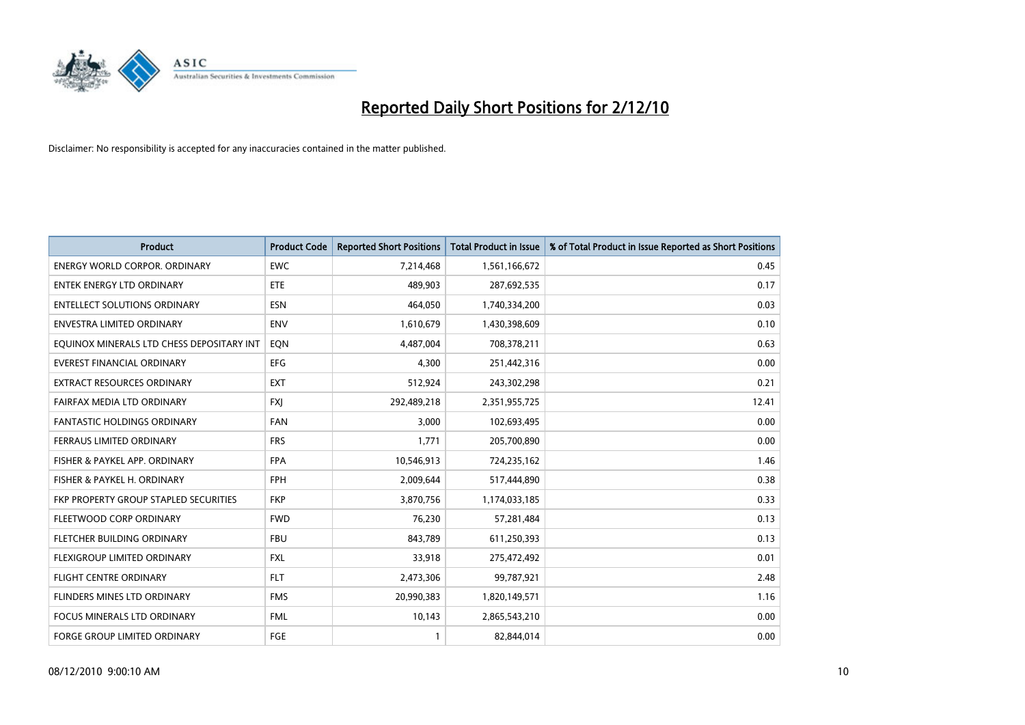

| <b>Product</b>                            | <b>Product Code</b> | <b>Reported Short Positions</b> | Total Product in Issue | % of Total Product in Issue Reported as Short Positions |
|-------------------------------------------|---------------------|---------------------------------|------------------------|---------------------------------------------------------|
| <b>ENERGY WORLD CORPOR, ORDINARY</b>      | <b>EWC</b>          | 7,214,468                       | 1,561,166,672          | 0.45                                                    |
| <b>ENTEK ENERGY LTD ORDINARY</b>          | <b>ETE</b>          | 489.903                         | 287,692,535            | 0.17                                                    |
| <b>ENTELLECT SOLUTIONS ORDINARY</b>       | <b>ESN</b>          | 464,050                         | 1,740,334,200          | 0.03                                                    |
| ENVESTRA LIMITED ORDINARY                 | <b>ENV</b>          | 1,610,679                       | 1,430,398,609          | 0.10                                                    |
| EQUINOX MINERALS LTD CHESS DEPOSITARY INT | <b>EON</b>          | 4,487,004                       | 708,378,211            | 0.63                                                    |
| <b>EVEREST FINANCIAL ORDINARY</b>         | EFG                 | 4,300                           | 251,442,316            | 0.00                                                    |
| <b>EXTRACT RESOURCES ORDINARY</b>         | <b>EXT</b>          | 512,924                         | 243,302,298            | 0.21                                                    |
| FAIRFAX MEDIA LTD ORDINARY                | <b>FXI</b>          | 292,489,218                     | 2,351,955,725          | 12.41                                                   |
| <b>FANTASTIC HOLDINGS ORDINARY</b>        | <b>FAN</b>          | 3,000                           | 102,693,495            | 0.00                                                    |
| FERRAUS LIMITED ORDINARY                  | <b>FRS</b>          | 1.771                           | 205,700,890            | 0.00                                                    |
| FISHER & PAYKEL APP. ORDINARY             | <b>FPA</b>          | 10,546,913                      | 724,235,162            | 1.46                                                    |
| FISHER & PAYKEL H. ORDINARY               | <b>FPH</b>          | 2,009,644                       | 517,444,890            | 0.38                                                    |
| FKP PROPERTY GROUP STAPLED SECURITIES     | <b>FKP</b>          | 3,870,756                       | 1,174,033,185          | 0.33                                                    |
| FLEETWOOD CORP ORDINARY                   | <b>FWD</b>          | 76.230                          | 57,281,484             | 0.13                                                    |
| FLETCHER BUILDING ORDINARY                | <b>FBU</b>          | 843,789                         | 611,250,393            | 0.13                                                    |
| FLEXIGROUP LIMITED ORDINARY               | <b>FXL</b>          | 33,918                          | 275,472,492            | 0.01                                                    |
| <b>FLIGHT CENTRE ORDINARY</b>             | <b>FLT</b>          | 2,473,306                       | 99,787,921             | 2.48                                                    |
| FLINDERS MINES LTD ORDINARY               | <b>FMS</b>          | 20,990,383                      | 1,820,149,571          | 1.16                                                    |
| <b>FOCUS MINERALS LTD ORDINARY</b>        | <b>FML</b>          | 10,143                          | 2,865,543,210          | 0.00                                                    |
| <b>FORGE GROUP LIMITED ORDINARY</b>       | <b>FGE</b>          |                                 | 82,844,014             | 0.00                                                    |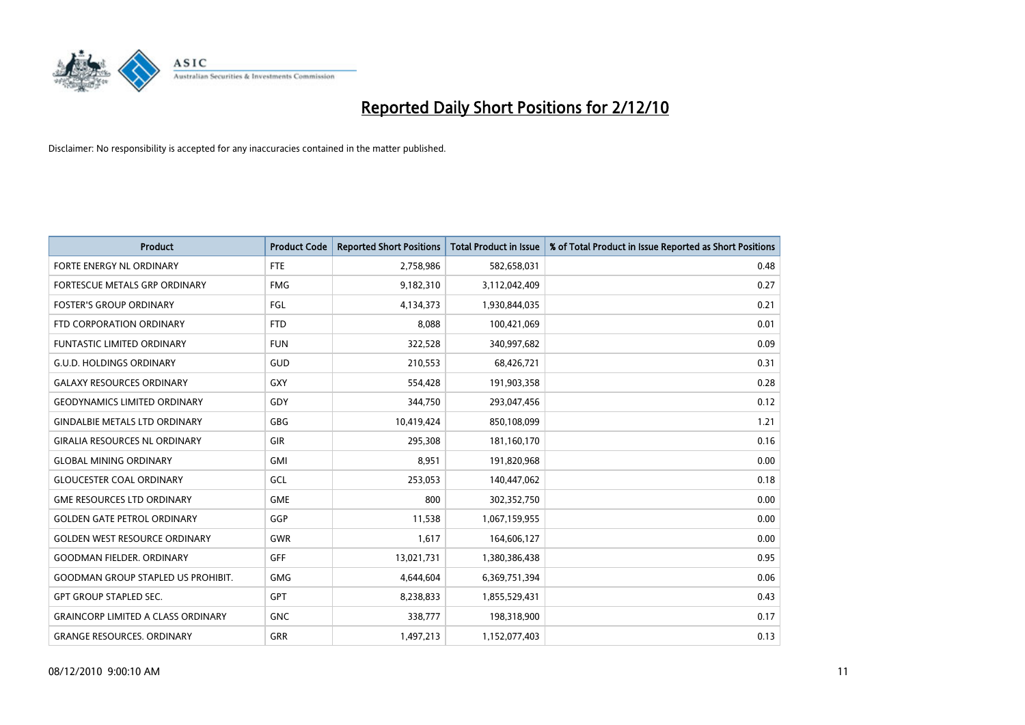![](_page_10_Picture_0.jpeg)

| <b>Product</b>                            | <b>Product Code</b> | <b>Reported Short Positions</b> | <b>Total Product in Issue</b> | % of Total Product in Issue Reported as Short Positions |
|-------------------------------------------|---------------------|---------------------------------|-------------------------------|---------------------------------------------------------|
| FORTE ENERGY NL ORDINARY                  | <b>FTE</b>          | 2,758,986                       | 582,658,031                   | 0.48                                                    |
| FORTESCUE METALS GRP ORDINARY             | <b>FMG</b>          | 9,182,310                       | 3,112,042,409                 | 0.27                                                    |
| <b>FOSTER'S GROUP ORDINARY</b>            | FGL                 | 4,134,373                       | 1,930,844,035                 | 0.21                                                    |
| FTD CORPORATION ORDINARY                  | <b>FTD</b>          | 8,088                           | 100,421,069                   | 0.01                                                    |
| <b>FUNTASTIC LIMITED ORDINARY</b>         | <b>FUN</b>          | 322,528                         | 340,997,682                   | 0.09                                                    |
| <b>G.U.D. HOLDINGS ORDINARY</b>           | GUD                 | 210,553                         | 68,426,721                    | 0.31                                                    |
| <b>GALAXY RESOURCES ORDINARY</b>          | <b>GXY</b>          | 554,428                         | 191,903,358                   | 0.28                                                    |
| <b>GEODYNAMICS LIMITED ORDINARY</b>       | GDY                 | 344,750                         | 293,047,456                   | 0.12                                                    |
| <b>GINDALBIE METALS LTD ORDINARY</b>      | <b>GBG</b>          | 10,419,424                      | 850,108,099                   | 1.21                                                    |
| <b>GIRALIA RESOURCES NL ORDINARY</b>      | <b>GIR</b>          | 295,308                         | 181,160,170                   | 0.16                                                    |
| <b>GLOBAL MINING ORDINARY</b>             | <b>GMI</b>          | 8,951                           | 191,820,968                   | 0.00                                                    |
| <b>GLOUCESTER COAL ORDINARY</b>           | <b>GCL</b>          | 253,053                         | 140,447,062                   | 0.18                                                    |
| <b>GME RESOURCES LTD ORDINARY</b>         | <b>GME</b>          | 800                             | 302,352,750                   | 0.00                                                    |
| <b>GOLDEN GATE PETROL ORDINARY</b>        | GGP                 | 11,538                          | 1,067,159,955                 | 0.00                                                    |
| <b>GOLDEN WEST RESOURCE ORDINARY</b>      | <b>GWR</b>          | 1,617                           | 164,606,127                   | 0.00                                                    |
| <b>GOODMAN FIELDER. ORDINARY</b>          | <b>GFF</b>          | 13,021,731                      | 1,380,386,438                 | 0.95                                                    |
| <b>GOODMAN GROUP STAPLED US PROHIBIT.</b> | <b>GMG</b>          | 4,644,604                       | 6,369,751,394                 | 0.06                                                    |
| <b>GPT GROUP STAPLED SEC.</b>             | <b>GPT</b>          | 8,238,833                       | 1,855,529,431                 | 0.43                                                    |
| <b>GRAINCORP LIMITED A CLASS ORDINARY</b> | <b>GNC</b>          | 338,777                         | 198,318,900                   | 0.17                                                    |
| <b>GRANGE RESOURCES, ORDINARY</b>         | <b>GRR</b>          | 1,497,213                       | 1,152,077,403                 | 0.13                                                    |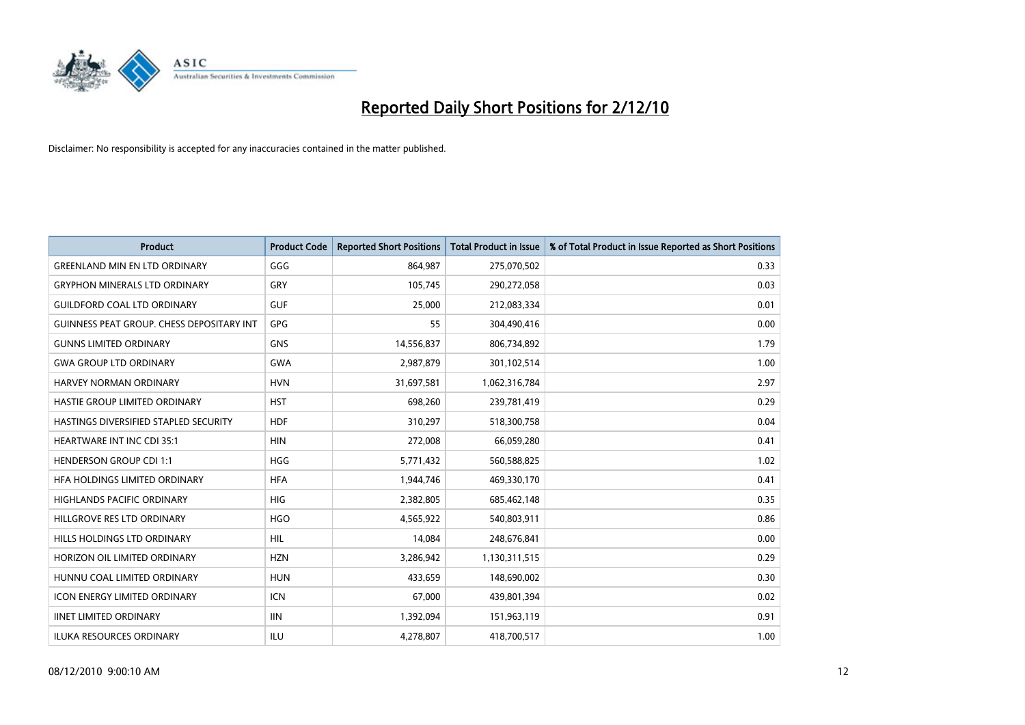![](_page_11_Picture_0.jpeg)

| <b>Product</b>                            | <b>Product Code</b> | <b>Reported Short Positions</b> | <b>Total Product in Issue</b> | % of Total Product in Issue Reported as Short Positions |
|-------------------------------------------|---------------------|---------------------------------|-------------------------------|---------------------------------------------------------|
| <b>GREENLAND MIN EN LTD ORDINARY</b>      | GGG                 | 864,987                         | 275,070,502                   | 0.33                                                    |
| <b>GRYPHON MINERALS LTD ORDINARY</b>      | GRY                 | 105,745                         | 290,272,058                   | 0.03                                                    |
| <b>GUILDFORD COAL LTD ORDINARY</b>        | <b>GUF</b>          | 25,000                          | 212,083,334                   | 0.01                                                    |
| GUINNESS PEAT GROUP. CHESS DEPOSITARY INT | GPG                 | 55                              | 304,490,416                   | 0.00                                                    |
| <b>GUNNS LIMITED ORDINARY</b>             | <b>GNS</b>          | 14,556,837                      | 806,734,892                   | 1.79                                                    |
| <b>GWA GROUP LTD ORDINARY</b>             | <b>GWA</b>          | 2,987,879                       | 301,102,514                   | 1.00                                                    |
| <b>HARVEY NORMAN ORDINARY</b>             | <b>HVN</b>          | 31,697,581                      | 1,062,316,784                 | 2.97                                                    |
| <b>HASTIE GROUP LIMITED ORDINARY</b>      | <b>HST</b>          | 698,260                         | 239,781,419                   | 0.29                                                    |
| HASTINGS DIVERSIFIED STAPLED SECURITY     | <b>HDF</b>          | 310,297                         | 518,300,758                   | 0.04                                                    |
| HEARTWARE INT INC CDI 35:1                | <b>HIN</b>          | 272,008                         | 66,059,280                    | 0.41                                                    |
| <b>HENDERSON GROUP CDI 1:1</b>            | <b>HGG</b>          | 5,771,432                       | 560,588,825                   | 1.02                                                    |
| HFA HOLDINGS LIMITED ORDINARY             | <b>HFA</b>          | 1,944,746                       | 469,330,170                   | 0.41                                                    |
| <b>HIGHLANDS PACIFIC ORDINARY</b>         | <b>HIG</b>          | 2,382,805                       | 685,462,148                   | 0.35                                                    |
| HILLGROVE RES LTD ORDINARY                | <b>HGO</b>          | 4,565,922                       | 540,803,911                   | 0.86                                                    |
| HILLS HOLDINGS LTD ORDINARY               | <b>HIL</b>          | 14,084                          | 248,676,841                   | 0.00                                                    |
| HORIZON OIL LIMITED ORDINARY              | <b>HZN</b>          | 3,286,942                       | 1,130,311,515                 | 0.29                                                    |
| HUNNU COAL LIMITED ORDINARY               | <b>HUN</b>          | 433,659                         | 148,690,002                   | 0.30                                                    |
| ICON ENERGY LIMITED ORDINARY              | <b>ICN</b>          | 67,000                          | 439,801,394                   | 0.02                                                    |
| <b>IINET LIMITED ORDINARY</b>             | <b>IIN</b>          | 1,392,094                       | 151,963,119                   | 0.91                                                    |
| <b>ILUKA RESOURCES ORDINARY</b>           | ILU                 | 4.278.807                       | 418,700,517                   | 1.00                                                    |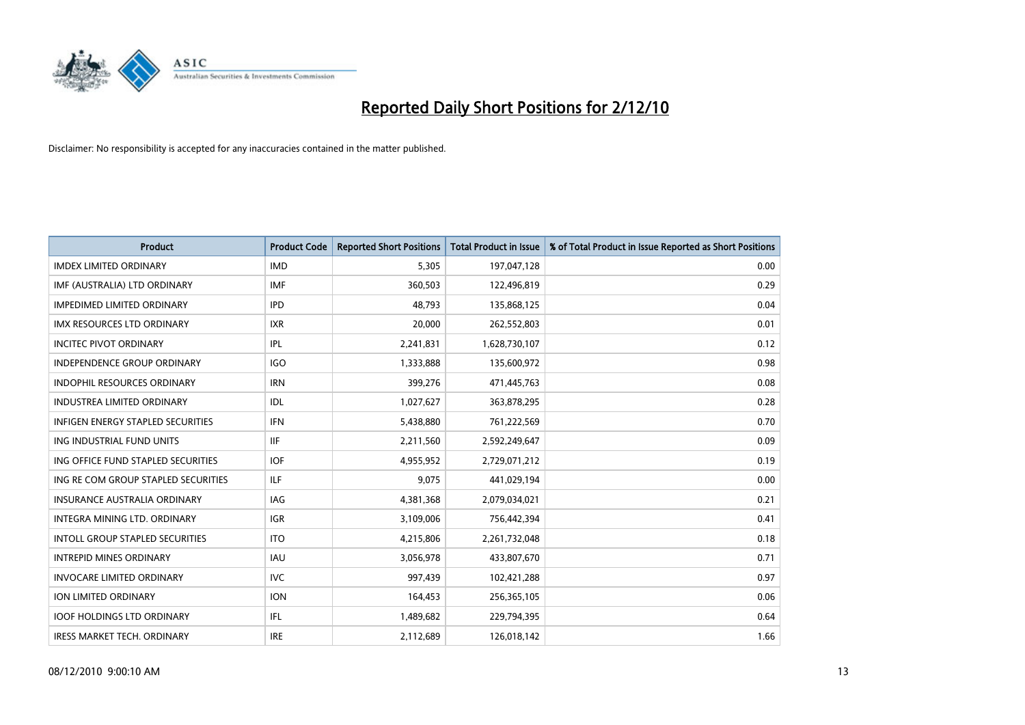![](_page_12_Picture_0.jpeg)

| <b>Product</b>                         | <b>Product Code</b> | <b>Reported Short Positions</b> | <b>Total Product in Issue</b> | % of Total Product in Issue Reported as Short Positions |
|----------------------------------------|---------------------|---------------------------------|-------------------------------|---------------------------------------------------------|
| <b>IMDEX LIMITED ORDINARY</b>          | <b>IMD</b>          | 5,305                           | 197,047,128                   | 0.00                                                    |
| IMF (AUSTRALIA) LTD ORDINARY           | <b>IMF</b>          | 360,503                         | 122,496,819                   | 0.29                                                    |
| <b>IMPEDIMED LIMITED ORDINARY</b>      | <b>IPD</b>          | 48,793                          | 135,868,125                   | 0.04                                                    |
| IMX RESOURCES LTD ORDINARY             | <b>IXR</b>          | 20,000                          | 262,552,803                   | 0.01                                                    |
| <b>INCITEC PIVOT ORDINARY</b>          | IPL                 | 2,241,831                       | 1,628,730,107                 | 0.12                                                    |
| <b>INDEPENDENCE GROUP ORDINARY</b>     | IGO                 | 1,333,888                       | 135,600,972                   | 0.98                                                    |
| <b>INDOPHIL RESOURCES ORDINARY</b>     | <b>IRN</b>          | 399,276                         | 471,445,763                   | 0.08                                                    |
| <b>INDUSTREA LIMITED ORDINARY</b>      | <b>IDL</b>          | 1,027,627                       | 363,878,295                   | 0.28                                                    |
| INFIGEN ENERGY STAPLED SECURITIES      | <b>IFN</b>          | 5,438,880                       | 761,222,569                   | 0.70                                                    |
| ING INDUSTRIAL FUND UNITS              | <b>IIF</b>          | 2,211,560                       | 2,592,249,647                 | 0.09                                                    |
| ING OFFICE FUND STAPLED SECURITIES     | <b>IOF</b>          | 4,955,952                       | 2,729,071,212                 | 0.19                                                    |
| ING RE COM GROUP STAPLED SECURITIES    | <b>ILF</b>          | 9,075                           | 441,029,194                   | 0.00                                                    |
| <b>INSURANCE AUSTRALIA ORDINARY</b>    | IAG                 | 4,381,368                       | 2,079,034,021                 | 0.21                                                    |
| <b>INTEGRA MINING LTD, ORDINARY</b>    | <b>IGR</b>          | 3,109,006                       | 756,442,394                   | 0.41                                                    |
| <b>INTOLL GROUP STAPLED SECURITIES</b> | <b>ITO</b>          | 4,215,806                       | 2,261,732,048                 | 0.18                                                    |
| <b>INTREPID MINES ORDINARY</b>         | <b>IAU</b>          | 3,056,978                       | 433,807,670                   | 0.71                                                    |
| <b>INVOCARE LIMITED ORDINARY</b>       | <b>IVC</b>          | 997,439                         | 102,421,288                   | 0.97                                                    |
| ION LIMITED ORDINARY                   | <b>ION</b>          | 164,453                         | 256,365,105                   | 0.06                                                    |
| <b>IOOF HOLDINGS LTD ORDINARY</b>      | <b>IFL</b>          | 1,489,682                       | 229,794,395                   | 0.64                                                    |
| <b>IRESS MARKET TECH. ORDINARY</b>     | <b>IRE</b>          | 2,112,689                       | 126,018,142                   | 1.66                                                    |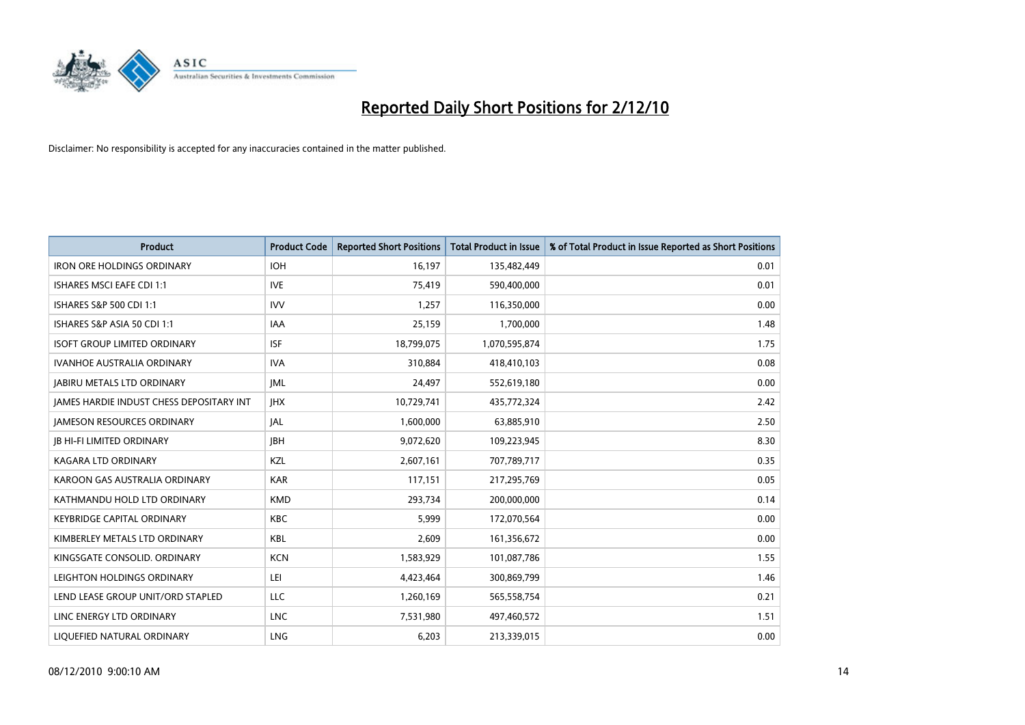![](_page_13_Picture_0.jpeg)

| <b>Product</b>                                  | <b>Product Code</b> | <b>Reported Short Positions</b> | Total Product in Issue | % of Total Product in Issue Reported as Short Positions |
|-------------------------------------------------|---------------------|---------------------------------|------------------------|---------------------------------------------------------|
| <b>IRON ORE HOLDINGS ORDINARY</b>               | <b>IOH</b>          | 16,197                          | 135,482,449            | 0.01                                                    |
| ISHARES MSCI EAFE CDI 1:1                       | <b>IVE</b>          | 75,419                          | 590,400,000            | 0.01                                                    |
| ISHARES S&P 500 CDI 1:1                         | <b>IVV</b>          | 1,257                           | 116,350,000            | 0.00                                                    |
| ISHARES S&P ASIA 50 CDI 1:1                     | IAA                 | 25,159                          | 1,700,000              | 1.48                                                    |
| <b>ISOFT GROUP LIMITED ORDINARY</b>             | <b>ISF</b>          | 18,799,075                      | 1,070,595,874          | 1.75                                                    |
| <b>IVANHOE AUSTRALIA ORDINARY</b>               | <b>IVA</b>          | 310,884                         | 418,410,103            | 0.08                                                    |
| <b>JABIRU METALS LTD ORDINARY</b>               | <b>JML</b>          | 24,497                          | 552,619,180            | 0.00                                                    |
| <b>JAMES HARDIE INDUST CHESS DEPOSITARY INT</b> | <b>IHX</b>          | 10,729,741                      | 435,772,324            | 2.42                                                    |
| <b>JAMESON RESOURCES ORDINARY</b>               | <b>JAL</b>          | 1,600,000                       | 63,885,910             | 2.50                                                    |
| <b>JB HI-FI LIMITED ORDINARY</b>                | <b>IBH</b>          | 9,072,620                       | 109,223,945            | 8.30                                                    |
| KAGARA LTD ORDINARY                             | KZL                 | 2,607,161                       | 707,789,717            | 0.35                                                    |
| KAROON GAS AUSTRALIA ORDINARY                   | <b>KAR</b>          | 117,151                         | 217,295,769            | 0.05                                                    |
| KATHMANDU HOLD LTD ORDINARY                     | <b>KMD</b>          | 293,734                         | 200,000,000            | 0.14                                                    |
| <b>KEYBRIDGE CAPITAL ORDINARY</b>               | <b>KBC</b>          | 5,999                           | 172,070,564            | 0.00                                                    |
| KIMBERLEY METALS LTD ORDINARY                   | <b>KBL</b>          | 2,609                           | 161,356,672            | 0.00                                                    |
| KINGSGATE CONSOLID. ORDINARY                    | <b>KCN</b>          | 1,583,929                       | 101,087,786            | 1.55                                                    |
| LEIGHTON HOLDINGS ORDINARY                      | LEI                 | 4,423,464                       | 300,869,799            | 1.46                                                    |
| LEND LEASE GROUP UNIT/ORD STAPLED               | LLC                 | 1,260,169                       | 565,558,754            | 0.21                                                    |
| LINC ENERGY LTD ORDINARY                        | <b>LNC</b>          | 7,531,980                       | 497,460,572            | 1.51                                                    |
| LIQUEFIED NATURAL ORDINARY                      | LNG                 | 6,203                           | 213,339,015            | 0.00                                                    |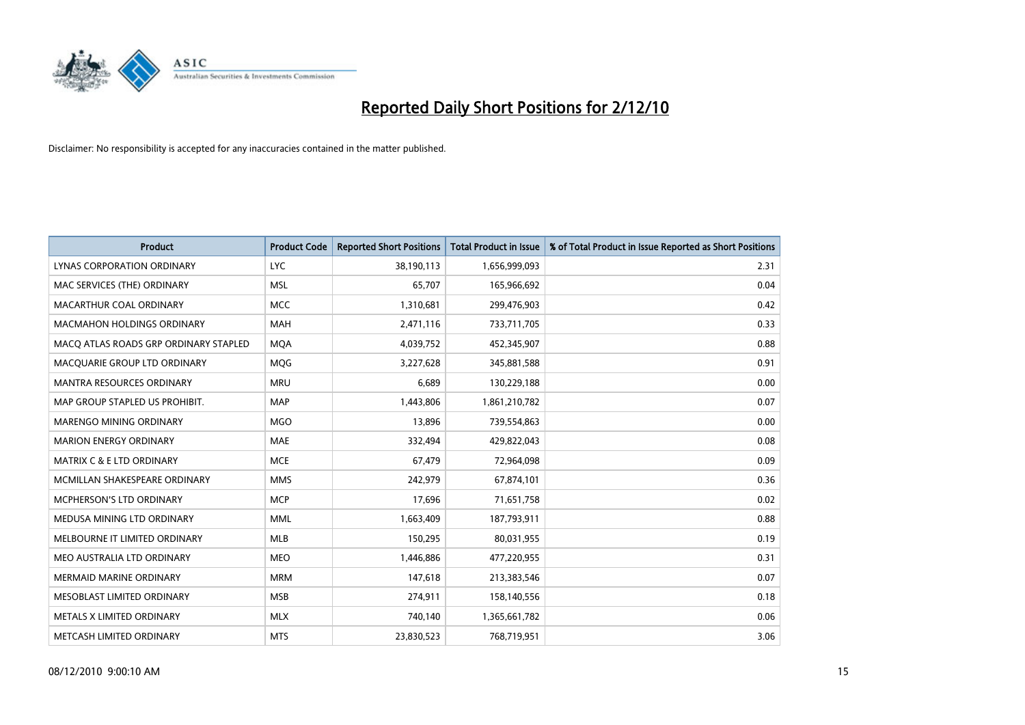![](_page_14_Picture_0.jpeg)

| <b>Product</b>                        | <b>Product Code</b> | <b>Reported Short Positions</b> | <b>Total Product in Issue</b> | % of Total Product in Issue Reported as Short Positions |
|---------------------------------------|---------------------|---------------------------------|-------------------------------|---------------------------------------------------------|
| LYNAS CORPORATION ORDINARY            | <b>LYC</b>          | 38,190,113                      | 1,656,999,093                 | 2.31                                                    |
| MAC SERVICES (THE) ORDINARY           | <b>MSL</b>          | 65,707                          | 165,966,692                   | 0.04                                                    |
| MACARTHUR COAL ORDINARY               | <b>MCC</b>          | 1,310,681                       | 299,476,903                   | 0.42                                                    |
| <b>MACMAHON HOLDINGS ORDINARY</b>     | <b>MAH</b>          | 2,471,116                       | 733,711,705                   | 0.33                                                    |
| MACQ ATLAS ROADS GRP ORDINARY STAPLED | <b>MOA</b>          | 4,039,752                       | 452,345,907                   | 0.88                                                    |
| MACQUARIE GROUP LTD ORDINARY          | MQG                 | 3,227,628                       | 345,881,588                   | 0.91                                                    |
| <b>MANTRA RESOURCES ORDINARY</b>      | <b>MRU</b>          | 6,689                           | 130,229,188                   | 0.00                                                    |
| MAP GROUP STAPLED US PROHIBIT.        | <b>MAP</b>          | 1,443,806                       | 1,861,210,782                 | 0.07                                                    |
| MARENGO MINING ORDINARY               | <b>MGO</b>          | 13,896                          | 739,554,863                   | 0.00                                                    |
| <b>MARION ENERGY ORDINARY</b>         | <b>MAE</b>          | 332,494                         | 429,822,043                   | 0.08                                                    |
| <b>MATRIX C &amp; E LTD ORDINARY</b>  | <b>MCE</b>          | 67,479                          | 72,964,098                    | 0.09                                                    |
| MCMILLAN SHAKESPEARE ORDINARY         | <b>MMS</b>          | 242,979                         | 67,874,101                    | 0.36                                                    |
| MCPHERSON'S LTD ORDINARY              | <b>MCP</b>          | 17,696                          | 71,651,758                    | 0.02                                                    |
| MEDUSA MINING LTD ORDINARY            | <b>MML</b>          | 1,663,409                       | 187,793,911                   | 0.88                                                    |
| MELBOURNE IT LIMITED ORDINARY         | <b>MLB</b>          | 150,295                         | 80,031,955                    | 0.19                                                    |
| MEO AUSTRALIA LTD ORDINARY            | <b>MEO</b>          | 1,446,886                       | 477,220,955                   | 0.31                                                    |
| <b>MERMAID MARINE ORDINARY</b>        | <b>MRM</b>          | 147,618                         | 213,383,546                   | 0.07                                                    |
| MESOBLAST LIMITED ORDINARY            | <b>MSB</b>          | 274,911                         | 158,140,556                   | 0.18                                                    |
| METALS X LIMITED ORDINARY             | <b>MLX</b>          | 740,140                         | 1,365,661,782                 | 0.06                                                    |
| METCASH LIMITED ORDINARY              | <b>MTS</b>          | 23,830,523                      | 768,719,951                   | 3.06                                                    |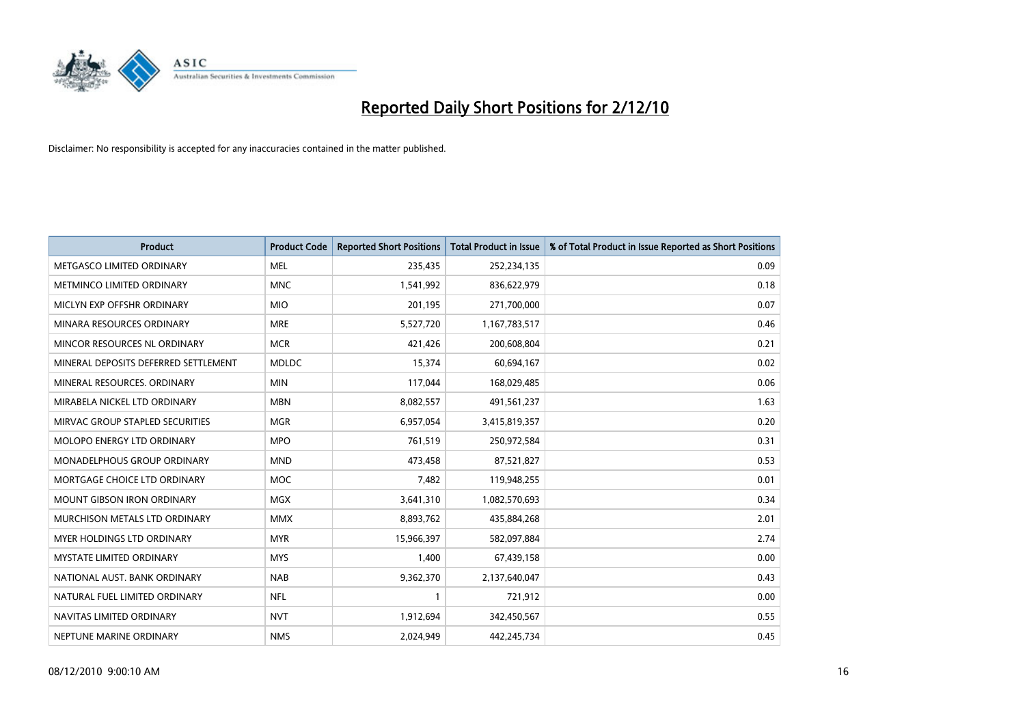![](_page_15_Picture_0.jpeg)

| <b>Product</b>                       | <b>Product Code</b> | <b>Reported Short Positions</b> | <b>Total Product in Issue</b> | % of Total Product in Issue Reported as Short Positions |
|--------------------------------------|---------------------|---------------------------------|-------------------------------|---------------------------------------------------------|
| METGASCO LIMITED ORDINARY            | <b>MEL</b>          | 235,435                         | 252,234,135                   | 0.09                                                    |
| METMINCO LIMITED ORDINARY            | <b>MNC</b>          | 1,541,992                       | 836,622,979                   | 0.18                                                    |
| MICLYN EXP OFFSHR ORDINARY           | <b>MIO</b>          | 201,195                         | 271,700,000                   | 0.07                                                    |
| MINARA RESOURCES ORDINARY            | <b>MRE</b>          | 5,527,720                       | 1,167,783,517                 | 0.46                                                    |
| MINCOR RESOURCES NL ORDINARY         | <b>MCR</b>          | 421,426                         | 200,608,804                   | 0.21                                                    |
| MINERAL DEPOSITS DEFERRED SETTLEMENT | <b>MDLDC</b>        | 15,374                          | 60,694,167                    | 0.02                                                    |
| MINERAL RESOURCES, ORDINARY          | <b>MIN</b>          | 117,044                         | 168,029,485                   | 0.06                                                    |
| MIRABELA NICKEL LTD ORDINARY         | <b>MBN</b>          | 8,082,557                       | 491,561,237                   | 1.63                                                    |
| MIRVAC GROUP STAPLED SECURITIES      | <b>MGR</b>          | 6,957,054                       | 3,415,819,357                 | 0.20                                                    |
| MOLOPO ENERGY LTD ORDINARY           | <b>MPO</b>          | 761,519                         | 250,972,584                   | 0.31                                                    |
| MONADELPHOUS GROUP ORDINARY          | <b>MND</b>          | 473,458                         | 87,521,827                    | 0.53                                                    |
| MORTGAGE CHOICE LTD ORDINARY         | <b>MOC</b>          | 7,482                           | 119,948,255                   | 0.01                                                    |
| <b>MOUNT GIBSON IRON ORDINARY</b>    | MGX                 | 3,641,310                       | 1,082,570,693                 | 0.34                                                    |
| MURCHISON METALS LTD ORDINARY        | <b>MMX</b>          | 8,893,762                       | 435,884,268                   | 2.01                                                    |
| MYER HOLDINGS LTD ORDINARY           | <b>MYR</b>          | 15,966,397                      | 582,097,884                   | 2.74                                                    |
| MYSTATE LIMITED ORDINARY             | <b>MYS</b>          | 1,400                           | 67,439,158                    | 0.00                                                    |
| NATIONAL AUST. BANK ORDINARY         | <b>NAB</b>          | 9,362,370                       | 2,137,640,047                 | 0.43                                                    |
| NATURAL FUEL LIMITED ORDINARY        | <b>NFL</b>          |                                 | 721,912                       | 0.00                                                    |
| NAVITAS LIMITED ORDINARY             | <b>NVT</b>          | 1,912,694                       | 342,450,567                   | 0.55                                                    |
| NEPTUNE MARINE ORDINARY              | <b>NMS</b>          | 2,024,949                       | 442,245,734                   | 0.45                                                    |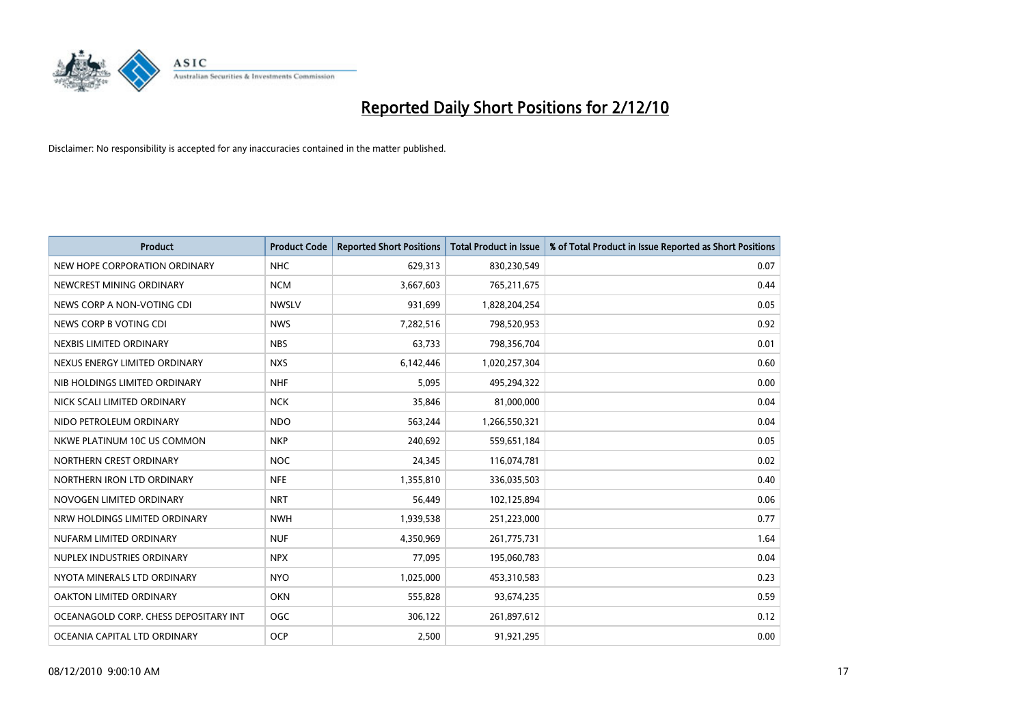![](_page_16_Picture_0.jpeg)

| <b>Product</b>                        | <b>Product Code</b> | <b>Reported Short Positions</b> | <b>Total Product in Issue</b> | % of Total Product in Issue Reported as Short Positions |
|---------------------------------------|---------------------|---------------------------------|-------------------------------|---------------------------------------------------------|
| NEW HOPE CORPORATION ORDINARY         | <b>NHC</b>          | 629,313                         | 830,230,549                   | 0.07                                                    |
| NEWCREST MINING ORDINARY              | <b>NCM</b>          | 3,667,603                       | 765,211,675                   | 0.44                                                    |
| NEWS CORP A NON-VOTING CDI            | <b>NWSLV</b>        | 931,699                         | 1,828,204,254                 | 0.05                                                    |
| NEWS CORP B VOTING CDI                | <b>NWS</b>          | 7,282,516                       | 798,520,953                   | 0.92                                                    |
| NEXBIS LIMITED ORDINARY               | <b>NBS</b>          | 63,733                          | 798,356,704                   | 0.01                                                    |
| NEXUS ENERGY LIMITED ORDINARY         | <b>NXS</b>          | 6,142,446                       | 1,020,257,304                 | 0.60                                                    |
| NIB HOLDINGS LIMITED ORDINARY         | <b>NHF</b>          | 5,095                           | 495,294,322                   | 0.00                                                    |
| NICK SCALI LIMITED ORDINARY           | <b>NCK</b>          | 35,846                          | 81,000,000                    | 0.04                                                    |
| NIDO PETROLEUM ORDINARY               | <b>NDO</b>          | 563,244                         | 1,266,550,321                 | 0.04                                                    |
| NKWE PLATINUM 10C US COMMON           | <b>NKP</b>          | 240,692                         | 559,651,184                   | 0.05                                                    |
| NORTHERN CREST ORDINARY               | <b>NOC</b>          | 24,345                          | 116,074,781                   | 0.02                                                    |
| NORTHERN IRON LTD ORDINARY            | <b>NFE</b>          | 1,355,810                       | 336,035,503                   | 0.40                                                    |
| NOVOGEN LIMITED ORDINARY              | <b>NRT</b>          | 56,449                          | 102,125,894                   | 0.06                                                    |
| NRW HOLDINGS LIMITED ORDINARY         | <b>NWH</b>          | 1,939,538                       | 251,223,000                   | 0.77                                                    |
| NUFARM LIMITED ORDINARY               | <b>NUF</b>          | 4,350,969                       | 261,775,731                   | 1.64                                                    |
| NUPLEX INDUSTRIES ORDINARY            | <b>NPX</b>          | 77,095                          | 195,060,783                   | 0.04                                                    |
| NYOTA MINERALS LTD ORDINARY           | <b>NYO</b>          | 1,025,000                       | 453,310,583                   | 0.23                                                    |
| OAKTON LIMITED ORDINARY               | <b>OKN</b>          | 555,828                         | 93,674,235                    | 0.59                                                    |
| OCEANAGOLD CORP. CHESS DEPOSITARY INT | <b>OGC</b>          | 306,122                         | 261,897,612                   | 0.12                                                    |
| OCEANIA CAPITAL LTD ORDINARY          | <b>OCP</b>          | 2,500                           | 91,921,295                    | 0.00                                                    |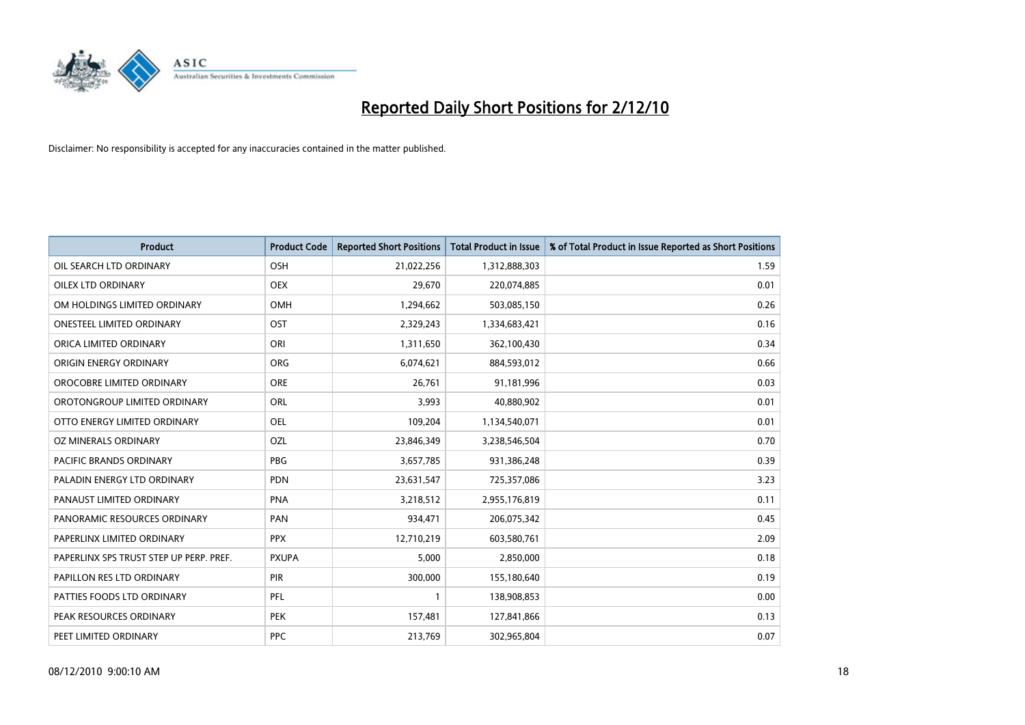![](_page_17_Picture_0.jpeg)

| <b>Product</b>                          | <b>Product Code</b> | <b>Reported Short Positions</b> | <b>Total Product in Issue</b> | % of Total Product in Issue Reported as Short Positions |
|-----------------------------------------|---------------------|---------------------------------|-------------------------------|---------------------------------------------------------|
| OIL SEARCH LTD ORDINARY                 | OSH                 | 21,022,256                      | 1,312,888,303                 | 1.59                                                    |
| OILEX LTD ORDINARY                      | OEX                 | 29,670                          | 220,074,885                   | 0.01                                                    |
| OM HOLDINGS LIMITED ORDINARY            | <b>OMH</b>          | 1,294,662                       | 503,085,150                   | 0.26                                                    |
| ONESTEEL LIMITED ORDINARY               | OST                 | 2,329,243                       | 1,334,683,421                 | 0.16                                                    |
| ORICA LIMITED ORDINARY                  | ORI                 | 1,311,650                       | 362,100,430                   | 0.34                                                    |
| ORIGIN ENERGY ORDINARY                  | <b>ORG</b>          | 6,074,621                       | 884,593,012                   | 0.66                                                    |
| OROCOBRE LIMITED ORDINARY               | <b>ORE</b>          | 26,761                          | 91,181,996                    | 0.03                                                    |
| OROTONGROUP LIMITED ORDINARY            | ORL                 | 3,993                           | 40,880,902                    | 0.01                                                    |
| OTTO ENERGY LIMITED ORDINARY            | OEL                 | 109,204                         | 1,134,540,071                 | 0.01                                                    |
| OZ MINERALS ORDINARY                    | OZL                 | 23,846,349                      | 3,238,546,504                 | 0.70                                                    |
| <b>PACIFIC BRANDS ORDINARY</b>          | <b>PBG</b>          | 3,657,785                       | 931,386,248                   | 0.39                                                    |
| PALADIN ENERGY LTD ORDINARY             | PDN                 | 23,631,547                      | 725,357,086                   | 3.23                                                    |
| PANAUST LIMITED ORDINARY                | <b>PNA</b>          | 3,218,512                       | 2,955,176,819                 | 0.11                                                    |
| PANORAMIC RESOURCES ORDINARY            | PAN                 | 934,471                         | 206,075,342                   | 0.45                                                    |
| PAPERLINX LIMITED ORDINARY              | <b>PPX</b>          | 12,710,219                      | 603,580,761                   | 2.09                                                    |
| PAPERLINX SPS TRUST STEP UP PERP. PREF. | <b>PXUPA</b>        | 5.000                           | 2,850,000                     | 0.18                                                    |
| PAPILLON RES LTD ORDINARY               | PIR                 | 300,000                         | 155,180,640                   | 0.19                                                    |
| PATTIES FOODS LTD ORDINARY              | PFL                 |                                 | 138,908,853                   | 0.00                                                    |
| PEAK RESOURCES ORDINARY                 | <b>PEK</b>          | 157,481                         | 127,841,866                   | 0.13                                                    |
| PEET LIMITED ORDINARY                   | <b>PPC</b>          | 213,769                         | 302,965,804                   | 0.07                                                    |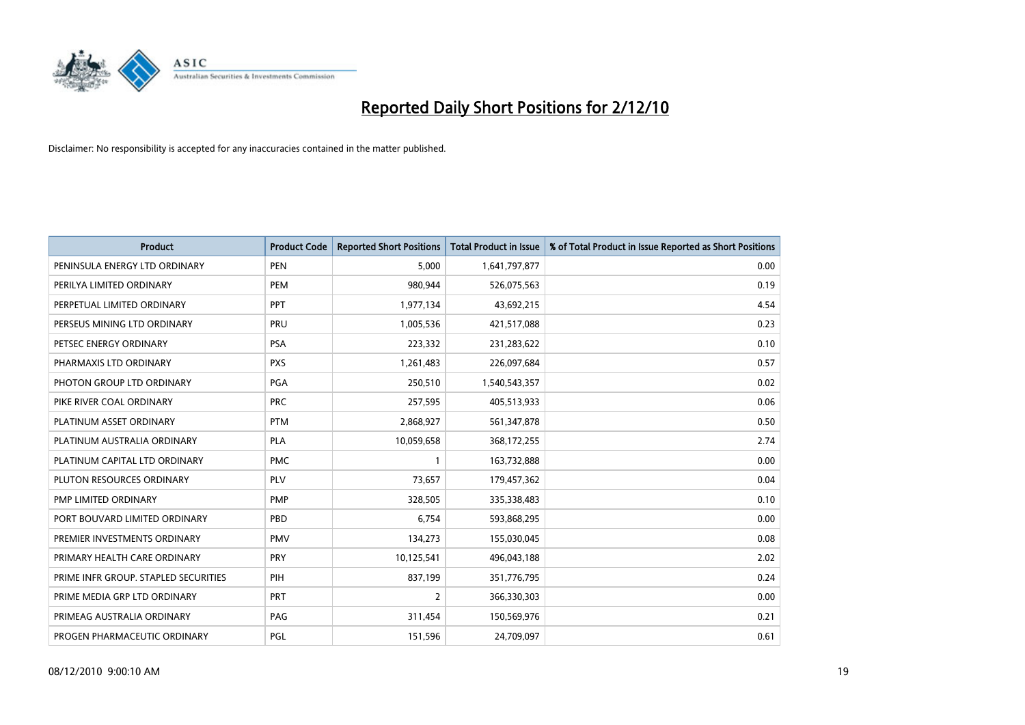![](_page_18_Picture_0.jpeg)

| <b>Product</b>                       | <b>Product Code</b> | <b>Reported Short Positions</b> | <b>Total Product in Issue</b> | % of Total Product in Issue Reported as Short Positions |
|--------------------------------------|---------------------|---------------------------------|-------------------------------|---------------------------------------------------------|
| PENINSULA ENERGY LTD ORDINARY        | <b>PEN</b>          | 5.000                           | 1,641,797,877                 | 0.00                                                    |
| PERILYA LIMITED ORDINARY             | <b>PEM</b>          | 980,944                         | 526,075,563                   | 0.19                                                    |
| PERPETUAL LIMITED ORDINARY           | PPT                 | 1,977,134                       | 43,692,215                    | 4.54                                                    |
| PERSEUS MINING LTD ORDINARY          | PRU                 | 1,005,536                       | 421,517,088                   | 0.23                                                    |
| PETSEC ENERGY ORDINARY               | <b>PSA</b>          | 223,332                         | 231,283,622                   | 0.10                                                    |
| PHARMAXIS LTD ORDINARY               | <b>PXS</b>          | 1,261,483                       | 226,097,684                   | 0.57                                                    |
| PHOTON GROUP LTD ORDINARY            | PGA                 | 250,510                         | 1,540,543,357                 | 0.02                                                    |
| PIKE RIVER COAL ORDINARY             | <b>PRC</b>          | 257,595                         | 405,513,933                   | 0.06                                                    |
| PLATINUM ASSET ORDINARY              | <b>PTM</b>          | 2,868,927                       | 561,347,878                   | 0.50                                                    |
| PLATINUM AUSTRALIA ORDINARY          | <b>PLA</b>          | 10,059,658                      | 368,172,255                   | 2.74                                                    |
| PLATINUM CAPITAL LTD ORDINARY        | <b>PMC</b>          |                                 | 163,732,888                   | 0.00                                                    |
| PLUTON RESOURCES ORDINARY            | <b>PLV</b>          | 73,657                          | 179,457,362                   | 0.04                                                    |
| <b>PMP LIMITED ORDINARY</b>          | <b>PMP</b>          | 328,505                         | 335,338,483                   | 0.10                                                    |
| PORT BOUVARD LIMITED ORDINARY        | PBD                 | 6,754                           | 593,868,295                   | 0.00                                                    |
| PREMIER INVESTMENTS ORDINARY         | <b>PMV</b>          | 134,273                         | 155,030,045                   | 0.08                                                    |
| PRIMARY HEALTH CARE ORDINARY         | <b>PRY</b>          | 10,125,541                      | 496,043,188                   | 2.02                                                    |
| PRIME INFR GROUP. STAPLED SECURITIES | PIH                 | 837,199                         | 351,776,795                   | 0.24                                                    |
| PRIME MEDIA GRP LTD ORDINARY         | <b>PRT</b>          | $\overline{2}$                  | 366,330,303                   | 0.00                                                    |
| PRIMEAG AUSTRALIA ORDINARY           | PAG                 | 311,454                         | 150,569,976                   | 0.21                                                    |
| PROGEN PHARMACEUTIC ORDINARY         | PGL                 | 151,596                         | 24,709,097                    | 0.61                                                    |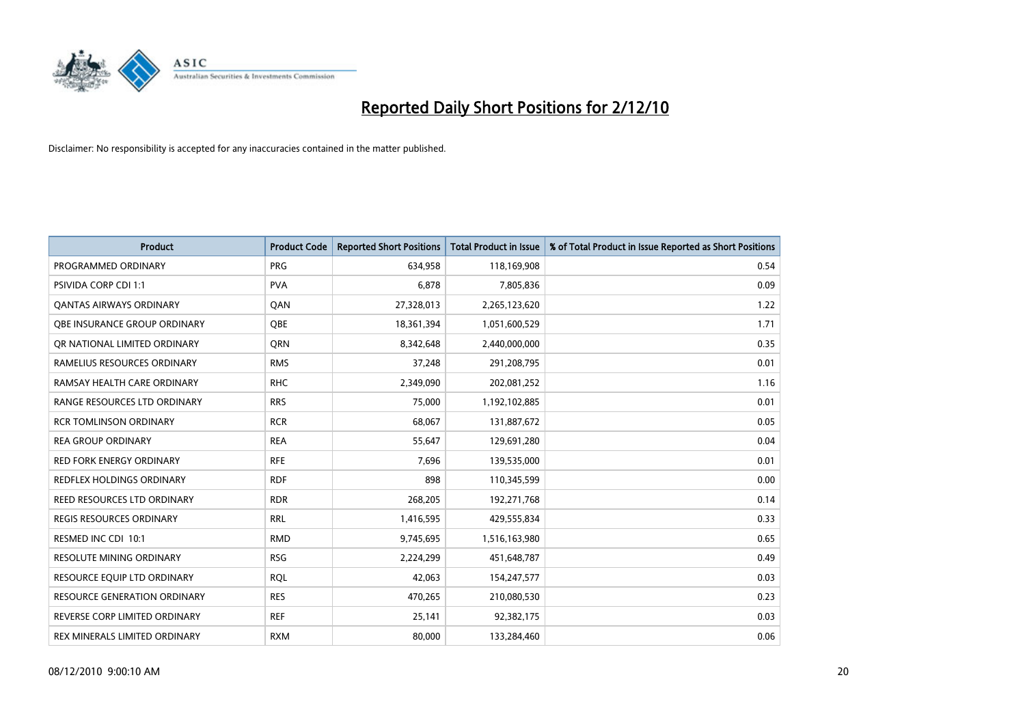![](_page_19_Picture_0.jpeg)

| <b>Product</b>                      | <b>Product Code</b> | <b>Reported Short Positions</b> | <b>Total Product in Issue</b> | % of Total Product in Issue Reported as Short Positions |
|-------------------------------------|---------------------|---------------------------------|-------------------------------|---------------------------------------------------------|
| PROGRAMMED ORDINARY                 | PRG                 | 634.958                         | 118,169,908                   | 0.54                                                    |
| <b>PSIVIDA CORP CDI 1:1</b>         | <b>PVA</b>          | 6,878                           | 7,805,836                     | 0.09                                                    |
| <b>QANTAS AIRWAYS ORDINARY</b>      | QAN                 | 27,328,013                      | 2,265,123,620                 | 1.22                                                    |
| <b>OBE INSURANCE GROUP ORDINARY</b> | <b>OBE</b>          | 18,361,394                      | 1,051,600,529                 | 1.71                                                    |
| OR NATIONAL LIMITED ORDINARY        | <b>ORN</b>          | 8,342,648                       | 2,440,000,000                 | 0.35                                                    |
| RAMELIUS RESOURCES ORDINARY         | <b>RMS</b>          | 37,248                          | 291,208,795                   | 0.01                                                    |
| RAMSAY HEALTH CARE ORDINARY         | <b>RHC</b>          | 2,349,090                       | 202,081,252                   | 1.16                                                    |
| RANGE RESOURCES LTD ORDINARY        | <b>RRS</b>          | 75,000                          | 1,192,102,885                 | 0.01                                                    |
| <b>RCR TOMLINSON ORDINARY</b>       | <b>RCR</b>          | 68,067                          | 131,887,672                   | 0.05                                                    |
| <b>REA GROUP ORDINARY</b>           | <b>REA</b>          | 55,647                          | 129,691,280                   | 0.04                                                    |
| <b>RED FORK ENERGY ORDINARY</b>     | <b>RFE</b>          | 7.696                           | 139,535,000                   | 0.01                                                    |
| REDFLEX HOLDINGS ORDINARY           | <b>RDF</b>          | 898                             | 110,345,599                   | 0.00                                                    |
| REED RESOURCES LTD ORDINARY         | <b>RDR</b>          | 268,205                         | 192,271,768                   | 0.14                                                    |
| <b>REGIS RESOURCES ORDINARY</b>     | <b>RRL</b>          | 1,416,595                       | 429,555,834                   | 0.33                                                    |
| RESMED INC CDI 10:1                 | <b>RMD</b>          | 9,745,695                       | 1,516,163,980                 | 0.65                                                    |
| RESOLUTE MINING ORDINARY            | <b>RSG</b>          | 2,224,299                       | 451,648,787                   | 0.49                                                    |
| RESOURCE EQUIP LTD ORDINARY         | <b>RQL</b>          | 42,063                          | 154,247,577                   | 0.03                                                    |
| <b>RESOURCE GENERATION ORDINARY</b> | <b>RES</b>          | 470,265                         | 210,080,530                   | 0.23                                                    |
| REVERSE CORP LIMITED ORDINARY       | <b>REF</b>          | 25,141                          | 92,382,175                    | 0.03                                                    |
| REX MINERALS LIMITED ORDINARY       | <b>RXM</b>          | 80.000                          | 133,284,460                   | 0.06                                                    |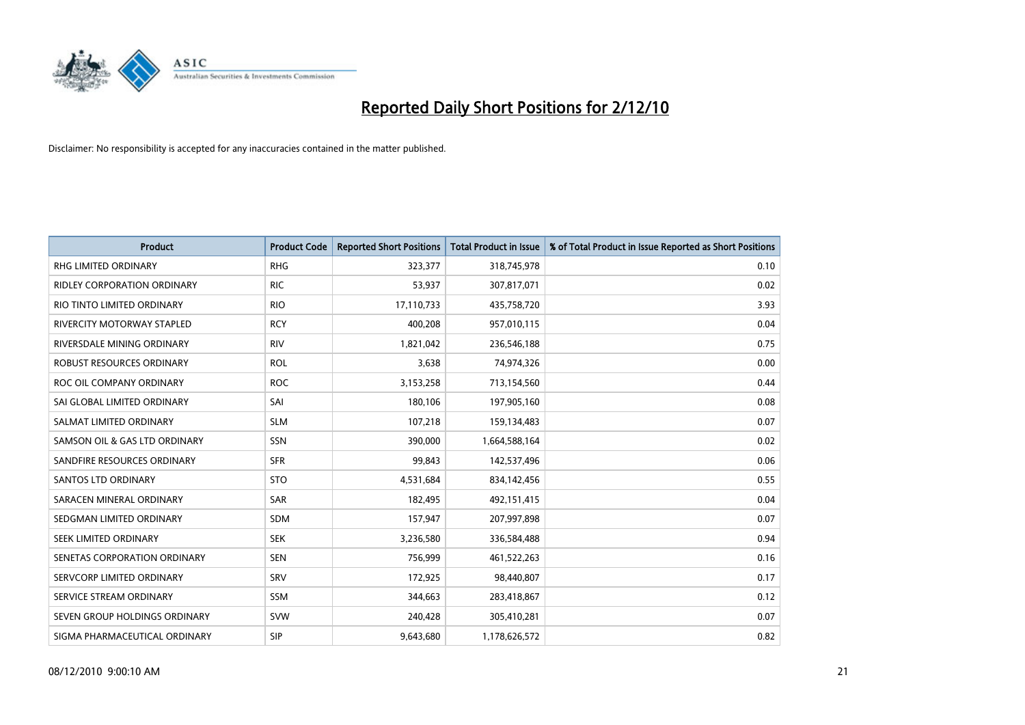![](_page_20_Picture_0.jpeg)

| <b>Product</b>                | <b>Product Code</b> | <b>Reported Short Positions</b> | Total Product in Issue | % of Total Product in Issue Reported as Short Positions |
|-------------------------------|---------------------|---------------------------------|------------------------|---------------------------------------------------------|
| <b>RHG LIMITED ORDINARY</b>   | <b>RHG</b>          | 323,377                         | 318,745,978            | 0.10                                                    |
| RIDLEY CORPORATION ORDINARY   | <b>RIC</b>          | 53,937                          | 307,817,071            | 0.02                                                    |
| RIO TINTO LIMITED ORDINARY    | <b>RIO</b>          | 17,110,733                      | 435,758,720            | 3.93                                                    |
| RIVERCITY MOTORWAY STAPLED    | <b>RCY</b>          | 400,208                         | 957,010,115            | 0.04                                                    |
| RIVERSDALE MINING ORDINARY    | <b>RIV</b>          | 1,821,042                       | 236,546,188            | 0.75                                                    |
| ROBUST RESOURCES ORDINARY     | <b>ROL</b>          | 3,638                           | 74,974,326             | 0.00                                                    |
| ROC OIL COMPANY ORDINARY      | <b>ROC</b>          | 3,153,258                       | 713,154,560            | 0.44                                                    |
| SAI GLOBAL LIMITED ORDINARY   | SAI                 | 180,106                         | 197,905,160            | 0.08                                                    |
| SALMAT LIMITED ORDINARY       | <b>SLM</b>          | 107,218                         | 159,134,483            | 0.07                                                    |
| SAMSON OIL & GAS LTD ORDINARY | SSN                 | 390,000                         | 1,664,588,164          | 0.02                                                    |
| SANDFIRE RESOURCES ORDINARY   | <b>SFR</b>          | 99,843                          | 142,537,496            | 0.06                                                    |
| <b>SANTOS LTD ORDINARY</b>    | <b>STO</b>          | 4,531,684                       | 834,142,456            | 0.55                                                    |
| SARACEN MINERAL ORDINARY      | <b>SAR</b>          | 182,495                         | 492,151,415            | 0.04                                                    |
| SEDGMAN LIMITED ORDINARY      | <b>SDM</b>          | 157,947                         | 207,997,898            | 0.07                                                    |
| SEEK LIMITED ORDINARY         | <b>SEK</b>          | 3,236,580                       | 336,584,488            | 0.94                                                    |
| SENETAS CORPORATION ORDINARY  | <b>SEN</b>          | 756,999                         | 461,522,263            | 0.16                                                    |
| SERVCORP LIMITED ORDINARY     | SRV                 | 172,925                         | 98,440,807             | 0.17                                                    |
| SERVICE STREAM ORDINARY       | <b>SSM</b>          | 344,663                         | 283,418,867            | 0.12                                                    |
| SEVEN GROUP HOLDINGS ORDINARY | <b>SVW</b>          | 240,428                         | 305,410,281            | 0.07                                                    |
| SIGMA PHARMACEUTICAL ORDINARY | SIP                 | 9,643,680                       | 1,178,626,572          | 0.82                                                    |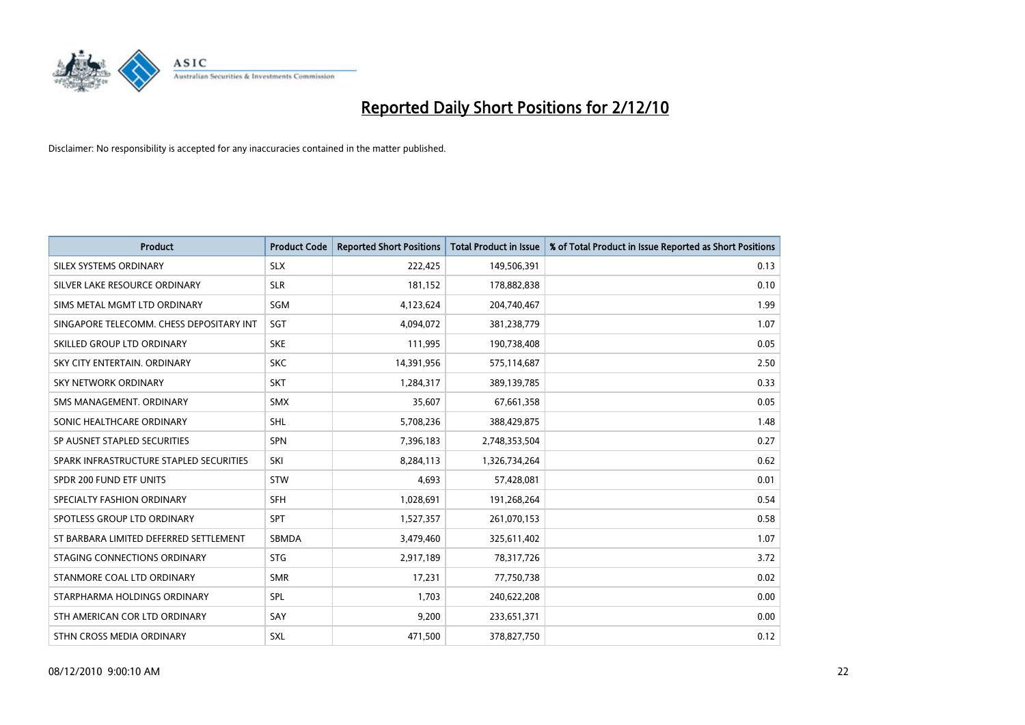![](_page_21_Picture_0.jpeg)

| <b>Product</b>                           | <b>Product Code</b> | <b>Reported Short Positions</b> | <b>Total Product in Issue</b> | % of Total Product in Issue Reported as Short Positions |
|------------------------------------------|---------------------|---------------------------------|-------------------------------|---------------------------------------------------------|
| SILEX SYSTEMS ORDINARY                   | <b>SLX</b>          | 222,425                         | 149,506,391                   | 0.13                                                    |
| SILVER LAKE RESOURCE ORDINARY            | <b>SLR</b>          | 181,152                         | 178,882,838                   | 0.10                                                    |
| SIMS METAL MGMT LTD ORDINARY             | SGM                 | 4,123,624                       | 204,740,467                   | 1.99                                                    |
| SINGAPORE TELECOMM. CHESS DEPOSITARY INT | SGT                 | 4,094,072                       | 381,238,779                   | 1.07                                                    |
| SKILLED GROUP LTD ORDINARY               | <b>SKE</b>          | 111,995                         | 190,738,408                   | 0.05                                                    |
| SKY CITY ENTERTAIN, ORDINARY             | <b>SKC</b>          | 14,391,956                      | 575,114,687                   | 2.50                                                    |
| <b>SKY NETWORK ORDINARY</b>              | <b>SKT</b>          | 1,284,317                       | 389,139,785                   | 0.33                                                    |
| SMS MANAGEMENT, ORDINARY                 | <b>SMX</b>          | 35,607                          | 67,661,358                    | 0.05                                                    |
| SONIC HEALTHCARE ORDINARY                | <b>SHL</b>          | 5,708,236                       | 388,429,875                   | 1.48                                                    |
| SP AUSNET STAPLED SECURITIES             | <b>SPN</b>          | 7,396,183                       | 2,748,353,504                 | 0.27                                                    |
| SPARK INFRASTRUCTURE STAPLED SECURITIES  | SKI                 | 8,284,113                       | 1,326,734,264                 | 0.62                                                    |
| SPDR 200 FUND ETF UNITS                  | <b>STW</b>          | 4,693                           | 57,428,081                    | 0.01                                                    |
| SPECIALTY FASHION ORDINARY               | SFH                 | 1,028,691                       | 191,268,264                   | 0.54                                                    |
| SPOTLESS GROUP LTD ORDINARY              | SPT                 | 1,527,357                       | 261,070,153                   | 0.58                                                    |
| ST BARBARA LIMITED DEFERRED SETTLEMENT   | SBMDA               | 3,479,460                       | 325,611,402                   | 1.07                                                    |
| STAGING CONNECTIONS ORDINARY             | <b>STG</b>          | 2,917,189                       | 78,317,726                    | 3.72                                                    |
| STANMORE COAL LTD ORDINARY               | <b>SMR</b>          | 17,231                          | 77,750,738                    | 0.02                                                    |
| STARPHARMA HOLDINGS ORDINARY             | SPL                 | 1,703                           | 240,622,208                   | 0.00                                                    |
| STH AMERICAN COR LTD ORDINARY            | SAY                 | 9,200                           | 233,651,371                   | 0.00                                                    |
| STHN CROSS MEDIA ORDINARY                | <b>SXL</b>          | 471,500                         | 378,827,750                   | 0.12                                                    |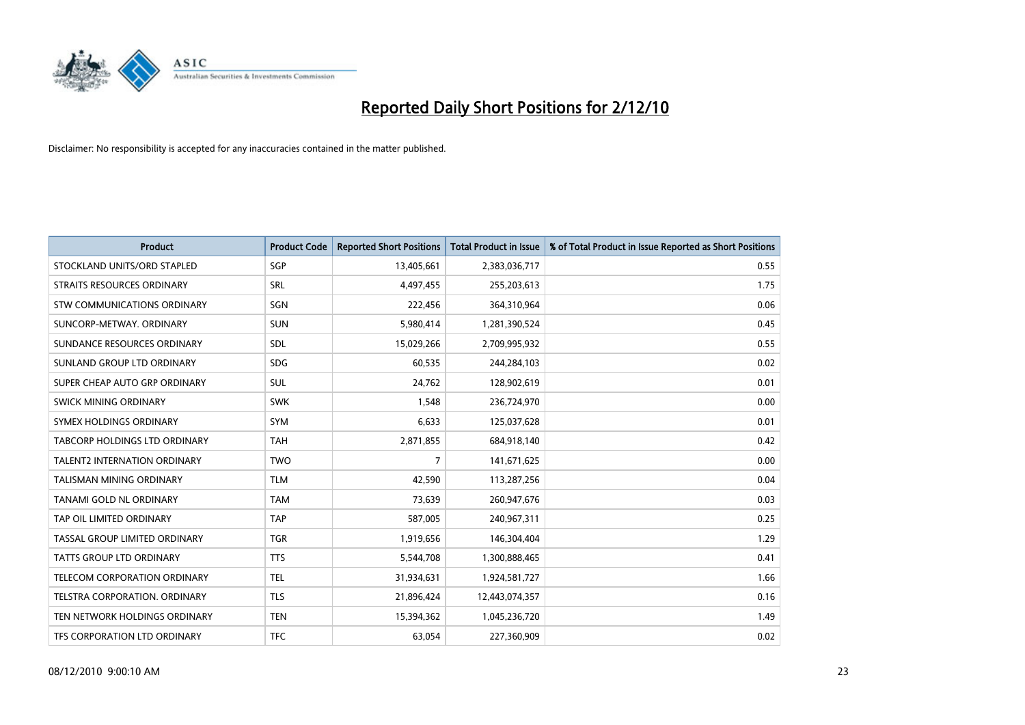![](_page_22_Picture_0.jpeg)

| <b>Product</b>                      | <b>Product Code</b> | <b>Reported Short Positions</b> | <b>Total Product in Issue</b> | % of Total Product in Issue Reported as Short Positions |
|-------------------------------------|---------------------|---------------------------------|-------------------------------|---------------------------------------------------------|
| STOCKLAND UNITS/ORD STAPLED         | SGP                 | 13,405,661                      | 2,383,036,717                 | 0.55                                                    |
| STRAITS RESOURCES ORDINARY          | SRL                 | 4,497,455                       | 255,203,613                   | 1.75                                                    |
| STW COMMUNICATIONS ORDINARY         | SGN                 | 222,456                         | 364,310,964                   | 0.06                                                    |
| SUNCORP-METWAY, ORDINARY            | <b>SUN</b>          | 5,980,414                       | 1,281,390,524                 | 0.45                                                    |
| SUNDANCE RESOURCES ORDINARY         | <b>SDL</b>          | 15,029,266                      | 2,709,995,932                 | 0.55                                                    |
| SUNLAND GROUP LTD ORDINARY          | <b>SDG</b>          | 60.535                          | 244,284,103                   | 0.02                                                    |
| SUPER CHEAP AUTO GRP ORDINARY       | <b>SUL</b>          | 24,762                          | 128,902,619                   | 0.01                                                    |
| SWICK MINING ORDINARY               | <b>SWK</b>          | 1,548                           | 236,724,970                   | 0.00                                                    |
| SYMEX HOLDINGS ORDINARY             | <b>SYM</b>          | 6,633                           | 125,037,628                   | 0.01                                                    |
| TABCORP HOLDINGS LTD ORDINARY       | <b>TAH</b>          | 2,871,855                       | 684,918,140                   | 0.42                                                    |
| <b>TALENT2 INTERNATION ORDINARY</b> | <b>TWO</b>          | 7                               | 141,671,625                   | 0.00                                                    |
| <b>TALISMAN MINING ORDINARY</b>     | <b>TLM</b>          | 42,590                          | 113,287,256                   | 0.04                                                    |
| TANAMI GOLD NL ORDINARY             | <b>TAM</b>          | 73,639                          | 260,947,676                   | 0.03                                                    |
| TAP OIL LIMITED ORDINARY            | <b>TAP</b>          | 587,005                         | 240,967,311                   | 0.25                                                    |
| TASSAL GROUP LIMITED ORDINARY       | <b>TGR</b>          | 1,919,656                       | 146,304,404                   | 1.29                                                    |
| <b>TATTS GROUP LTD ORDINARY</b>     | <b>TTS</b>          | 5,544,708                       | 1,300,888,465                 | 0.41                                                    |
| TELECOM CORPORATION ORDINARY        | <b>TEL</b>          | 31,934,631                      | 1,924,581,727                 | 1.66                                                    |
| TELSTRA CORPORATION. ORDINARY       | <b>TLS</b>          | 21,896,424                      | 12,443,074,357                | 0.16                                                    |
| TEN NETWORK HOLDINGS ORDINARY       | <b>TEN</b>          | 15,394,362                      | 1,045,236,720                 | 1.49                                                    |
| TFS CORPORATION LTD ORDINARY        | <b>TFC</b>          | 63,054                          | 227,360,909                   | 0.02                                                    |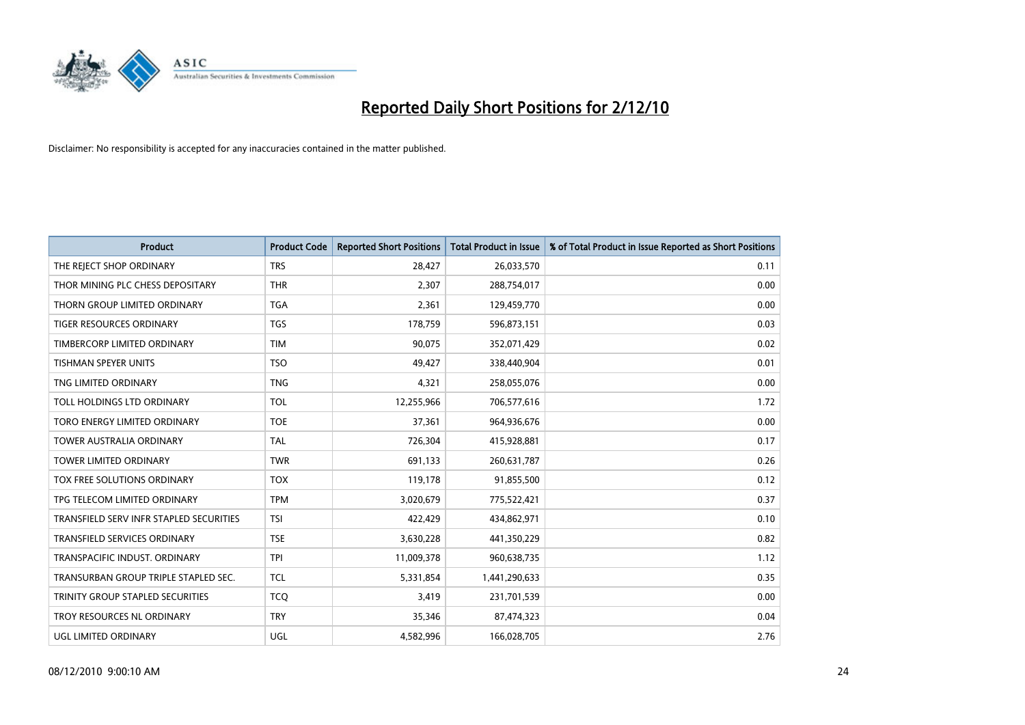![](_page_23_Picture_0.jpeg)

| <b>Product</b>                          | <b>Product Code</b> | <b>Reported Short Positions</b> | Total Product in Issue | % of Total Product in Issue Reported as Short Positions |
|-----------------------------------------|---------------------|---------------------------------|------------------------|---------------------------------------------------------|
|                                         |                     |                                 |                        |                                                         |
| THE REJECT SHOP ORDINARY                | <b>TRS</b>          | 28,427                          | 26,033,570             | 0.11                                                    |
| THOR MINING PLC CHESS DEPOSITARY        | <b>THR</b>          | 2,307                           | 288,754,017            | 0.00                                                    |
| THORN GROUP LIMITED ORDINARY            | <b>TGA</b>          | 2,361                           | 129,459,770            | 0.00                                                    |
| TIGER RESOURCES ORDINARY                | <b>TGS</b>          | 178,759                         | 596,873,151            | 0.03                                                    |
| TIMBERCORP LIMITED ORDINARY             | <b>TIM</b>          | 90,075                          | 352,071,429            | 0.02                                                    |
| <b>TISHMAN SPEYER UNITS</b>             | <b>TSO</b>          | 49.427                          | 338,440,904            | 0.01                                                    |
| TNG LIMITED ORDINARY                    | <b>TNG</b>          | 4,321                           | 258,055,076            | 0.00                                                    |
| TOLL HOLDINGS LTD ORDINARY              | <b>TOL</b>          | 12,255,966                      | 706,577,616            | 1.72                                                    |
| TORO ENERGY LIMITED ORDINARY            | <b>TOE</b>          | 37,361                          | 964,936,676            | 0.00                                                    |
| <b>TOWER AUSTRALIA ORDINARY</b>         | <b>TAL</b>          | 726,304                         | 415,928,881            | 0.17                                                    |
| TOWER LIMITED ORDINARY                  | <b>TWR</b>          | 691,133                         | 260,631,787            | 0.26                                                    |
| <b>TOX FREE SOLUTIONS ORDINARY</b>      | <b>TOX</b>          | 119,178                         | 91,855,500             | 0.12                                                    |
| TPG TELECOM LIMITED ORDINARY            | <b>TPM</b>          | 3,020,679                       | 775,522,421            | 0.37                                                    |
| TRANSFIELD SERV INFR STAPLED SECURITIES | <b>TSI</b>          | 422,429                         | 434,862,971            | 0.10                                                    |
| <b>TRANSFIELD SERVICES ORDINARY</b>     | <b>TSE</b>          | 3,630,228                       | 441,350,229            | 0.82                                                    |
| TRANSPACIFIC INDUST. ORDINARY           | <b>TPI</b>          | 11,009,378                      | 960,638,735            | 1.12                                                    |
| TRANSURBAN GROUP TRIPLE STAPLED SEC.    | <b>TCL</b>          | 5,331,854                       | 1,441,290,633          | 0.35                                                    |
| TRINITY GROUP STAPLED SECURITIES        | <b>TCQ</b>          | 3,419                           | 231,701,539            | 0.00                                                    |
| TROY RESOURCES NL ORDINARY              | <b>TRY</b>          | 35,346                          | 87,474,323             | 0.04                                                    |
| UGL LIMITED ORDINARY                    | UGL                 | 4,582,996                       | 166,028,705            | 2.76                                                    |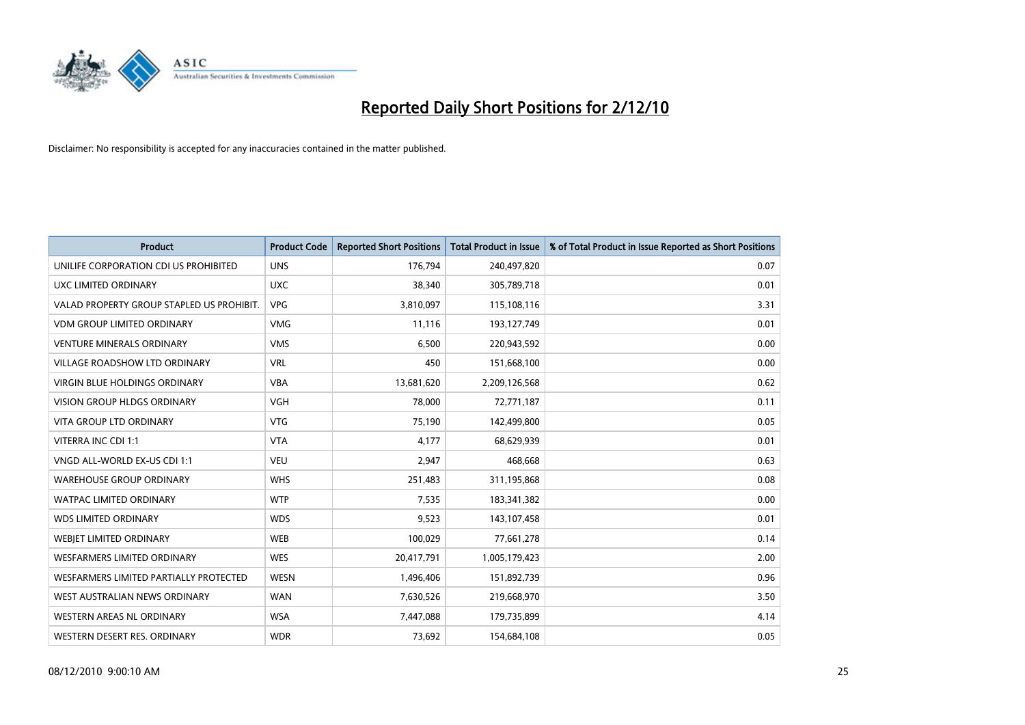![](_page_24_Picture_0.jpeg)

| <b>Product</b>                            | <b>Product Code</b> | <b>Reported Short Positions</b> | <b>Total Product in Issue</b> | % of Total Product in Issue Reported as Short Positions |
|-------------------------------------------|---------------------|---------------------------------|-------------------------------|---------------------------------------------------------|
| UNILIFE CORPORATION CDI US PROHIBITED     | <b>UNS</b>          | 176,794                         | 240,497,820                   | 0.07                                                    |
| UXC LIMITED ORDINARY                      | <b>UXC</b>          | 38,340                          | 305,789,718                   | 0.01                                                    |
| VALAD PROPERTY GROUP STAPLED US PROHIBIT. | <b>VPG</b>          | 3,810,097                       | 115,108,116                   | 3.31                                                    |
| <b>VDM GROUP LIMITED ORDINARY</b>         | <b>VMG</b>          | 11,116                          | 193,127,749                   | 0.01                                                    |
| <b>VENTURE MINERALS ORDINARY</b>          | <b>VMS</b>          | 6,500                           | 220,943,592                   | 0.00                                                    |
| <b>VILLAGE ROADSHOW LTD ORDINARY</b>      | <b>VRL</b>          | 450                             | 151,668,100                   | 0.00                                                    |
| <b>VIRGIN BLUE HOLDINGS ORDINARY</b>      | <b>VBA</b>          | 13,681,620                      | 2,209,126,568                 | 0.62                                                    |
| VISION GROUP HLDGS ORDINARY               | <b>VGH</b>          | 78,000                          | 72,771,187                    | 0.11                                                    |
| <b>VITA GROUP LTD ORDINARY</b>            | <b>VTG</b>          | 75,190                          | 142,499,800                   | 0.05                                                    |
| VITERRA INC CDI 1:1                       | <b>VTA</b>          | 4,177                           | 68,629,939                    | 0.01                                                    |
| VNGD ALL-WORLD EX-US CDI 1:1              | <b>VEU</b>          | 2,947                           | 468,668                       | 0.63                                                    |
| <b>WAREHOUSE GROUP ORDINARY</b>           | <b>WHS</b>          | 251,483                         | 311,195,868                   | 0.08                                                    |
| <b>WATPAC LIMITED ORDINARY</b>            | <b>WTP</b>          | 7,535                           | 183,341,382                   | 0.00                                                    |
| <b>WDS LIMITED ORDINARY</b>               | <b>WDS</b>          | 9,523                           | 143,107,458                   | 0.01                                                    |
| WEBJET LIMITED ORDINARY                   | <b>WEB</b>          | 100,029                         | 77,661,278                    | 0.14                                                    |
| WESFARMERS LIMITED ORDINARY               | <b>WES</b>          | 20,417,791                      | 1,005,179,423                 | 2.00                                                    |
| WESFARMERS LIMITED PARTIALLY PROTECTED    | <b>WESN</b>         | 1,496,406                       | 151,892,739                   | 0.96                                                    |
| WEST AUSTRALIAN NEWS ORDINARY             | <b>WAN</b>          | 7,630,526                       | 219,668,970                   | 3.50                                                    |
| WESTERN AREAS NL ORDINARY                 | <b>WSA</b>          | 7,447,088                       | 179,735,899                   | 4.14                                                    |
| WESTERN DESERT RES. ORDINARY              | <b>WDR</b>          | 73,692                          | 154,684,108                   | 0.05                                                    |